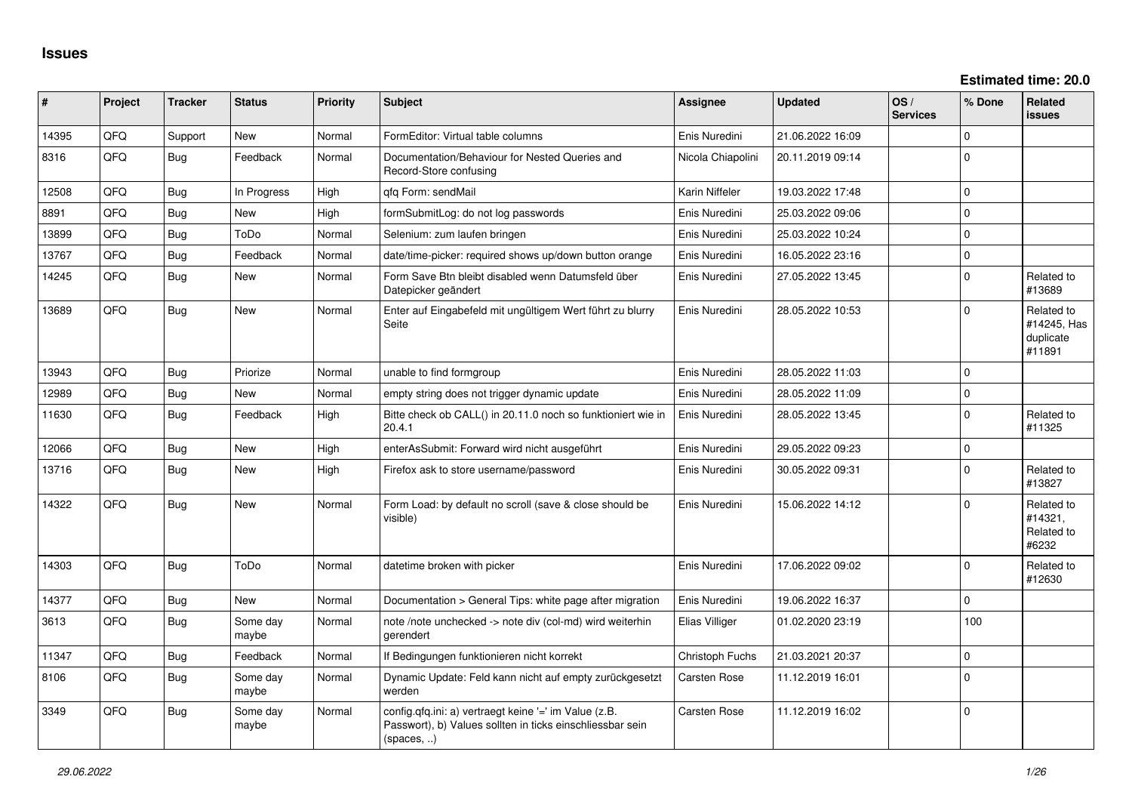| ∥ #   | Project | <b>Tracker</b> | <b>Status</b>     | <b>Priority</b> | <b>Subject</b>                                                                                                                   | Assignee            | <b>Updated</b>   | OS/<br><b>Services</b> | % Done   | Related<br>issues                                |
|-------|---------|----------------|-------------------|-----------------|----------------------------------------------------------------------------------------------------------------------------------|---------------------|------------------|------------------------|----------|--------------------------------------------------|
| 14395 | QFQ     | Support        | <b>New</b>        | Normal          | FormEditor: Virtual table columns                                                                                                | Enis Nuredini       | 21.06.2022 16:09 |                        | O        |                                                  |
| 8316  | QFQ     | Bug            | Feedback          | Normal          | Documentation/Behaviour for Nested Queries and<br>Record-Store confusing                                                         | Nicola Chiapolini   | 20.11.2019 09:14 |                        | $\Omega$ |                                                  |
| 12508 | QFQ.    | Bug            | In Progress       | High            | qfq Form: sendMail                                                                                                               | Karin Niffeler      | 19.03.2022 17:48 |                        | $\Omega$ |                                                  |
| 8891  | QFQ     | Bug            | New               | High            | formSubmitLog: do not log passwords                                                                                              | Enis Nuredini       | 25.03.2022 09:06 |                        | $\Omega$ |                                                  |
| 13899 | QFQ     | Bug            | ToDo              | Normal          | Selenium: zum laufen bringen                                                                                                     | Enis Nuredini       | 25.03.2022 10:24 |                        | $\Omega$ |                                                  |
| 13767 | QFQ     | Bug            | Feedback          | Normal          | date/time-picker: required shows up/down button orange                                                                           | Enis Nuredini       | 16.05.2022 23:16 |                        | $\Omega$ |                                                  |
| 14245 | QFQ     | Bug            | New               | Normal          | Form Save Btn bleibt disabled wenn Datumsfeld über<br>Datepicker geändert                                                        | Enis Nuredini       | 27.05.2022 13:45 |                        | $\Omega$ | Related to<br>#13689                             |
| 13689 | QFQ     | Bug            | <b>New</b>        | Normal          | Enter auf Eingabefeld mit ungültigem Wert führt zu blurry<br>Seite                                                               | Enis Nuredini       | 28.05.2022 10:53 |                        | O        | Related to<br>#14245, Has<br>duplicate<br>#11891 |
| 13943 | QFQ     | Bug            | Priorize          | Normal          | unable to find formgroup                                                                                                         | Enis Nuredini       | 28.05.2022 11:03 |                        | 0        |                                                  |
| 12989 | QFQ     | Bug            | <b>New</b>        | Normal          | empty string does not trigger dynamic update                                                                                     | Enis Nuredini       | 28.05.2022 11:09 |                        | $\Omega$ |                                                  |
| 11630 | QFQ     | Bug            | Feedback          | High            | Bitte check ob CALL() in 20.11.0 noch so funktioniert wie in<br>20.4.1                                                           | Enis Nuredini       | 28.05.2022 13:45 |                        | $\Omega$ | Related to<br>#11325                             |
| 12066 | QFQ     | Bug            | <b>New</b>        | High            | enterAsSubmit: Forward wird nicht ausgeführt                                                                                     | Enis Nuredini       | 29.05.2022 09:23 |                        | $\Omega$ |                                                  |
| 13716 | QFQ     | Bug            | <b>New</b>        | High            | Firefox ask to store username/password                                                                                           | Enis Nuredini       | 30.05.2022 09:31 |                        | $\Omega$ | Related to<br>#13827                             |
| 14322 | QFQ     | Bug            | New               | Normal          | Form Load: by default no scroll (save & close should be<br>visible)                                                              | Enis Nuredini       | 15.06.2022 14:12 |                        | $\Omega$ | Related to<br>#14321,<br>Related to<br>#6232     |
| 14303 | QFQ     | Bug            | ToDo              | Normal          | datetime broken with picker                                                                                                      | Enis Nuredini       | 17.06.2022 09:02 |                        | $\Omega$ | Related to<br>#12630                             |
| 14377 | QFQ     | Bug            | New               | Normal          | Documentation > General Tips: white page after migration                                                                         | Enis Nuredini       | 19.06.2022 16:37 |                        | 0        |                                                  |
| 3613  | QFQ     | Bug            | Some day<br>maybe | Normal          | note /note unchecked -> note div (col-md) wird weiterhin<br>gerendert                                                            | Elias Villiger      | 01.02.2020 23:19 |                        | 100      |                                                  |
| 11347 | QFQ     | Bug            | Feedback          | Normal          | If Bedingungen funktionieren nicht korrekt                                                                                       | Christoph Fuchs     | 21.03.2021 20:37 |                        | 0        |                                                  |
| 8106  | QFQ     | Bug            | Some day<br>maybe | Normal          | Dynamic Update: Feld kann nicht auf empty zurückgesetzt<br>werden                                                                | <b>Carsten Rose</b> | 11.12.2019 16:01 |                        | $\Omega$ |                                                  |
| 3349  | QFQ     | Bug            | Some day<br>maybe | Normal          | config.qfq.ini: a) vertraegt keine '=' im Value (z.B.<br>Passwort), b) Values sollten in ticks einschliessbar sein<br>(spaces, ) | <b>Carsten Rose</b> | 11.12.2019 16:02 |                        | $\Omega$ |                                                  |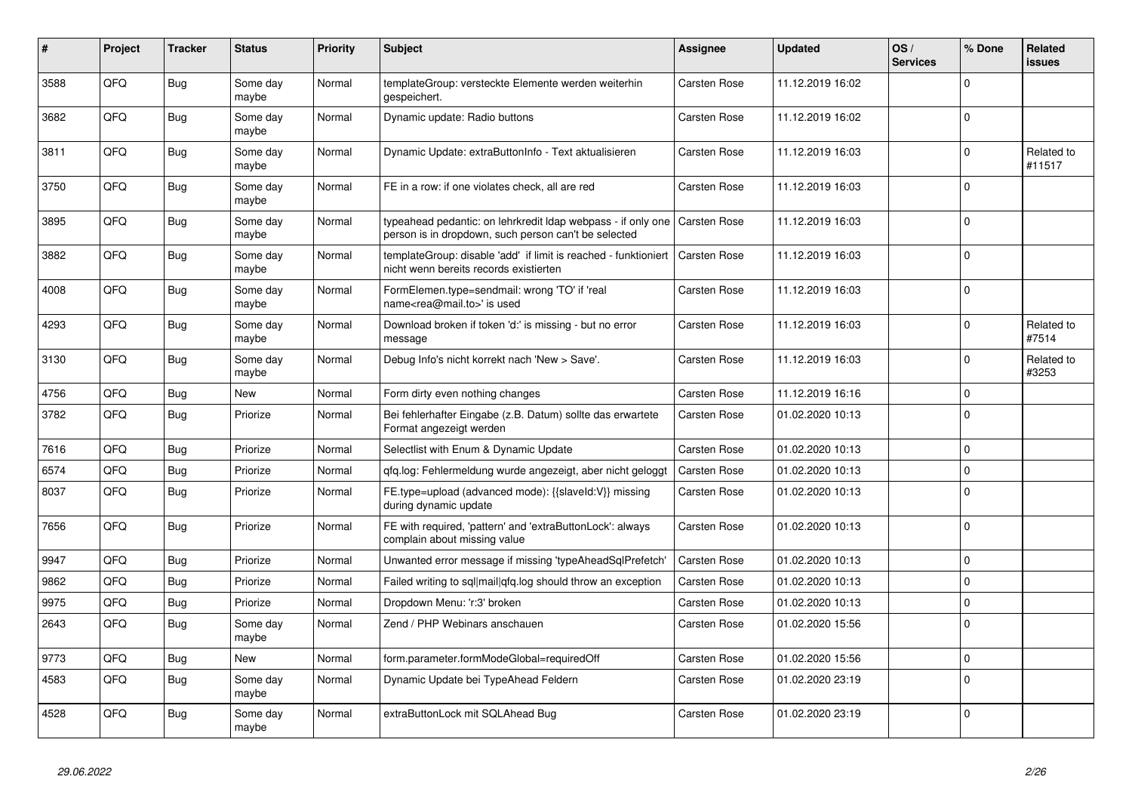| ∦    | Project | <b>Tracker</b> | <b>Status</b>     | <b>Priority</b> | <b>Subject</b>                                                                                                       | Assignee            | <b>Updated</b>   | OS/<br><b>Services</b> | % Done       | <b>Related</b><br><b>issues</b> |
|------|---------|----------------|-------------------|-----------------|----------------------------------------------------------------------------------------------------------------------|---------------------|------------------|------------------------|--------------|---------------------------------|
| 3588 | QFQ     | <b>Bug</b>     | Some day<br>maybe | Normal          | templateGroup: versteckte Elemente werden weiterhin<br>gespeichert.                                                  | Carsten Rose        | 11.12.2019 16:02 |                        | $\Omega$     |                                 |
| 3682 | QFQ     | Bug            | Some day<br>maybe | Normal          | Dynamic update: Radio buttons                                                                                        | Carsten Rose        | 11.12.2019 16:02 |                        | $\Omega$     |                                 |
| 3811 | QFQ     | Bug            | Some day<br>maybe | Normal          | Dynamic Update: extraButtonInfo - Text aktualisieren                                                                 | Carsten Rose        | 11.12.2019 16:03 |                        | $\Omega$     | Related to<br>#11517            |
| 3750 | QFQ     | Bug            | Some day<br>maybe | Normal          | FE in a row: if one violates check, all are red                                                                      | Carsten Rose        | 11.12.2019 16:03 |                        | $\Omega$     |                                 |
| 3895 | QFQ     | Bug            | Some day<br>maybe | Normal          | typeahead pedantic: on lehrkredit Idap webpass - if only one<br>person is in dropdown, such person can't be selected | Carsten Rose        | 11.12.2019 16:03 |                        | $\Omega$     |                                 |
| 3882 | QFQ     | Bug            | Some day<br>maybe | Normal          | templateGroup: disable 'add' if limit is reached - funktioniert<br>nicht wenn bereits records existierten            | Carsten Rose        | 11.12.2019 16:03 |                        | $\Omega$     |                                 |
| 4008 | QFQ     | <b>Bug</b>     | Some day<br>maybe | Normal          | FormElemen.type=sendmail: wrong 'TO' if 'real<br>name <rea@mail.to>' is used</rea@mail.to>                           | Carsten Rose        | 11.12.2019 16:03 |                        | $\Omega$     |                                 |
| 4293 | QFQ     | Bug            | Some day<br>maybe | Normal          | Download broken if token 'd:' is missing - but no error<br>message                                                   | Carsten Rose        | 11.12.2019 16:03 |                        | $\Omega$     | Related to<br>#7514             |
| 3130 | QFQ     | <b>Bug</b>     | Some day<br>maybe | Normal          | Debug Info's nicht korrekt nach 'New > Save'.                                                                        | Carsten Rose        | 11.12.2019 16:03 |                        | $\Omega$     | Related to<br>#3253             |
| 4756 | QFQ     | Bug            | <b>New</b>        | Normal          | Form dirty even nothing changes                                                                                      | Carsten Rose        | 11.12.2019 16:16 |                        | $\Omega$     |                                 |
| 3782 | QFQ     | <b>Bug</b>     | Priorize          | Normal          | Bei fehlerhafter Eingabe (z.B. Datum) sollte das erwartete<br>Format angezeigt werden                                | Carsten Rose        | 01.02.2020 10:13 |                        | $\mathbf{0}$ |                                 |
| 7616 | QFQ     | Bug            | Priorize          | Normal          | Selectlist with Enum & Dynamic Update                                                                                | Carsten Rose        | 01.02.2020 10:13 |                        | $\Omega$     |                                 |
| 6574 | QFQ     | <b>Bug</b>     | Priorize          | Normal          | gfg.log: Fehlermeldung wurde angezeigt, aber nicht geloggt                                                           | Carsten Rose        | 01.02.2020 10:13 |                        | $\Omega$     |                                 |
| 8037 | QFQ     | Bug            | Priorize          | Normal          | FE.type=upload (advanced mode): {{slaveld:V}} missing<br>during dynamic update                                       | Carsten Rose        | 01.02.2020 10:13 |                        | $\Omega$     |                                 |
| 7656 | QFQ     | Bug            | Priorize          | Normal          | FE with required, 'pattern' and 'extraButtonLock': always<br>complain about missing value                            | Carsten Rose        | 01.02.2020 10:13 |                        | $\Omega$     |                                 |
| 9947 | QFQ     | Bug            | Priorize          | Normal          | Unwanted error message if missing 'typeAheadSqlPrefetch'                                                             | Carsten Rose        | 01.02.2020 10:13 |                        | $\Omega$     |                                 |
| 9862 | QFQ     | Bug            | Priorize          | Normal          | Failed writing to sql mail qfq.log should throw an exception                                                         | <b>Carsten Rose</b> | 01.02.2020 10:13 |                        | $\Omega$     |                                 |
| 9975 | QFQ     | Bug            | Priorize          | Normal          | Dropdown Menu: 'r:3' broken                                                                                          | Carsten Rose        | 01.02.2020 10:13 |                        | $\Omega$     |                                 |
| 2643 | QFQ     | Bug            | Some day<br>maybe | Normal          | Zend / PHP Webinars anschauen                                                                                        | Carsten Rose        | 01.02.2020 15:56 |                        | $\Omega$     |                                 |
| 9773 | QFQ     | <b>Bug</b>     | <b>New</b>        | Normal          | form.parameter.formModeGlobal=requiredOff                                                                            | Carsten Rose        | 01.02.2020 15:56 |                        | $\mathbf 0$  |                                 |
| 4583 | QFQ     | Bug            | Some day<br>maybe | Normal          | Dynamic Update bei TypeAhead Feldern                                                                                 | Carsten Rose        | 01.02.2020 23:19 |                        | $\Omega$     |                                 |
| 4528 | QFQ     | Bug            | Some day<br>maybe | Normal          | extraButtonLock mit SQLAhead Bug                                                                                     | Carsten Rose        | 01.02.2020 23:19 |                        | $\mathbf{0}$ |                                 |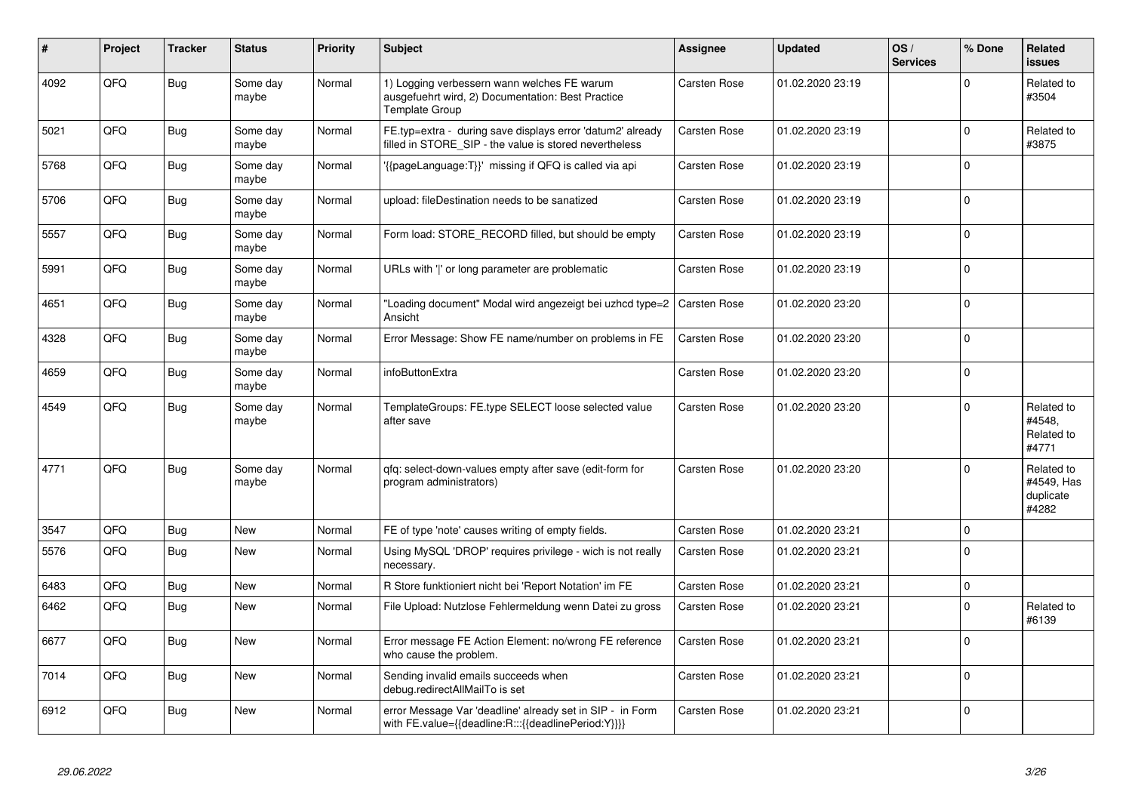| #    | Project | <b>Tracker</b> | <b>Status</b>     | <b>Priority</b> | <b>Subject</b>                                                                                                            | Assignee            | <b>Updated</b>   | OS/<br><b>Services</b> | % Done      | <b>Related</b><br><b>issues</b>                |
|------|---------|----------------|-------------------|-----------------|---------------------------------------------------------------------------------------------------------------------------|---------------------|------------------|------------------------|-------------|------------------------------------------------|
| 4092 | QFQ     | <b>Bug</b>     | Some day<br>maybe | Normal          | 1) Logging verbessern wann welches FE warum<br>ausgefuehrt wird, 2) Documentation: Best Practice<br><b>Template Group</b> | <b>Carsten Rose</b> | 01.02.2020 23:19 |                        | $\Omega$    | Related to<br>#3504                            |
| 5021 | QFQ     | Bug            | Some day<br>maybe | Normal          | FE.typ=extra - during save displays error 'datum2' already<br>filled in STORE_SIP - the value is stored nevertheless      | <b>Carsten Rose</b> | 01.02.2020 23:19 |                        | $\Omega$    | Related to<br>#3875                            |
| 5768 | QFQ     | <b>Bug</b>     | Some day<br>maybe | Normal          | '{{pageLanguage:T}}' missing if QFQ is called via api                                                                     | Carsten Rose        | 01.02.2020 23:19 |                        | $\Omega$    |                                                |
| 5706 | QFQ     | <b>Bug</b>     | Some day<br>maybe | Normal          | upload: fileDestination needs to be sanatized                                                                             | <b>Carsten Rose</b> | 01.02.2020 23:19 |                        | $\mathbf 0$ |                                                |
| 5557 | QFQ     | <b>Bug</b>     | Some day<br>maybe | Normal          | Form load: STORE_RECORD filled, but should be empty                                                                       | Carsten Rose        | 01.02.2020 23:19 |                        | $\Omega$    |                                                |
| 5991 | QFQ     | Bug            | Some day<br>maybe | Normal          | URLs with ' ' or long parameter are problematic                                                                           | Carsten Rose        | 01.02.2020 23:19 |                        | $\Omega$    |                                                |
| 4651 | QFQ     | Bug            | Some day<br>maybe | Normal          | "Loading document" Modal wird angezeigt bei uzhcd type=2<br>Ansicht                                                       | <b>Carsten Rose</b> | 01.02.2020 23:20 |                        | $\Omega$    |                                                |
| 4328 | QFQ     | <b>Bug</b>     | Some day<br>maybe | Normal          | Error Message: Show FE name/number on problems in FE                                                                      | <b>Carsten Rose</b> | 01.02.2020 23:20 |                        | $\Omega$    |                                                |
| 4659 | QFQ     | <b>Bug</b>     | Some day<br>maybe | Normal          | infoButtonExtra                                                                                                           | <b>Carsten Rose</b> | 01.02.2020 23:20 |                        | $\Omega$    |                                                |
| 4549 | QFQ     | <b>Bug</b>     | Some day<br>maybe | Normal          | TemplateGroups: FE.type SELECT loose selected value<br>after save                                                         | <b>Carsten Rose</b> | 01.02.2020 23:20 |                        | $\Omega$    | Related to<br>#4548.<br>Related to<br>#4771    |
| 4771 | QFQ     | Bug            | Some day<br>maybe | Normal          | gfg: select-down-values empty after save (edit-form for<br>program administrators)                                        | <b>Carsten Rose</b> | 01.02.2020 23:20 |                        | $\Omega$    | Related to<br>#4549, Has<br>duplicate<br>#4282 |
| 3547 | QFQ     | Bug            | New               | Normal          | FE of type 'note' causes writing of empty fields.                                                                         | Carsten Rose        | 01.02.2020 23:21 |                        | $\mathbf 0$ |                                                |
| 5576 | QFQ     | <b>Bug</b>     | New               | Normal          | Using MySQL 'DROP' requires privilege - wich is not really<br>necessary.                                                  | <b>Carsten Rose</b> | 01.02.2020 23:21 |                        | $\Omega$    |                                                |
| 6483 | QFQ     | Bug            | <b>New</b>        | Normal          | R Store funktioniert nicht bei 'Report Notation' im FE                                                                    | <b>Carsten Rose</b> | 01.02.2020 23:21 |                        | $\Omega$    |                                                |
| 6462 | QFQ     | Bug            | New               | Normal          | File Upload: Nutzlose Fehlermeldung wenn Datei zu gross                                                                   | Carsten Rose        | 01.02.2020 23:21 |                        | $\Omega$    | Related to<br>#6139                            |
| 6677 | QFQ     | <b>Bug</b>     | <b>New</b>        | Normal          | Error message FE Action Element: no/wrong FE reference<br>who cause the problem.                                          | Carsten Rose        | 01.02.2020 23:21 |                        | $\Omega$    |                                                |
| 7014 | QFQ     | <b>Bug</b>     | <b>New</b>        | Normal          | Sending invalid emails succeeds when<br>debug.redirectAllMailTo is set                                                    | <b>Carsten Rose</b> | 01.02.2020 23:21 |                        | $\Omega$    |                                                |
| 6912 | QFQ     | Bug            | <b>New</b>        | Normal          | error Message Var 'deadline' already set in SIP - in Form<br>with FE.value={{deadline:R:::{{deadlinePeriod:Y}}}}          | Carsten Rose        | 01.02.2020 23:21 |                        | $\Omega$    |                                                |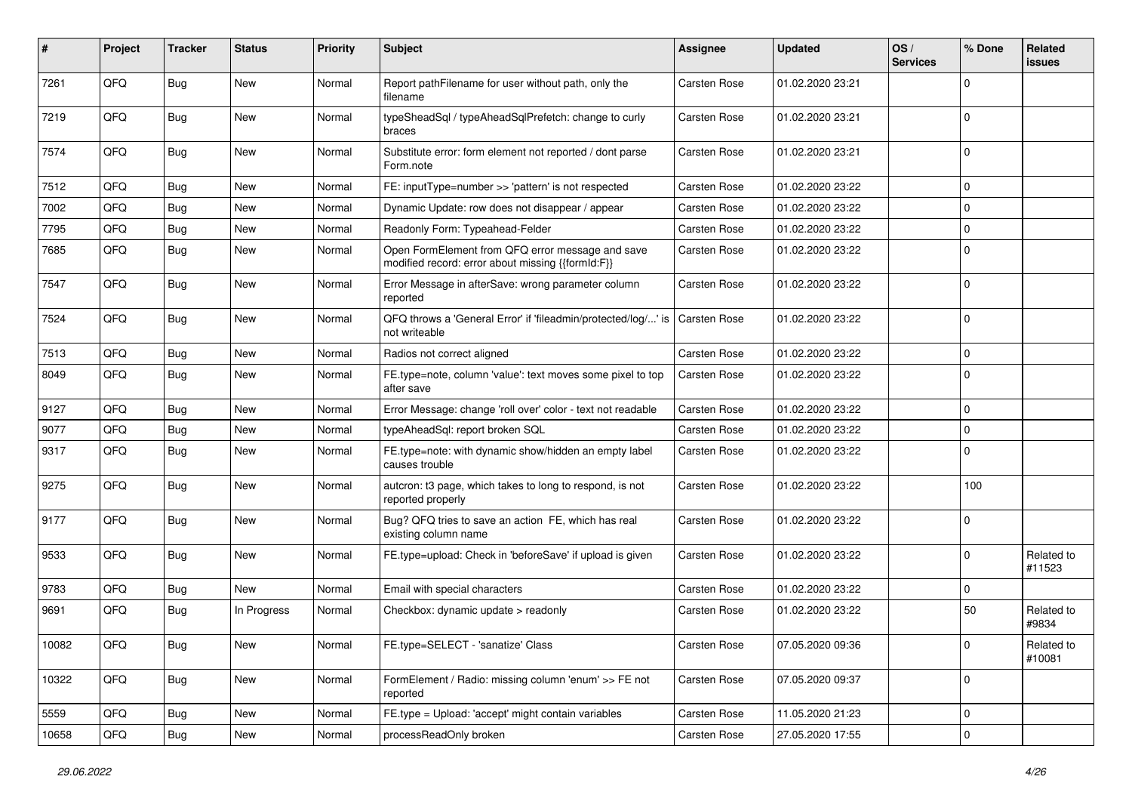| #     | Project | <b>Tracker</b> | <b>Status</b> | <b>Priority</b> | Subject                                                                                               | <b>Assignee</b>     | <b>Updated</b>   | OS/<br><b>Services</b> | % Done         | Related<br>issues    |
|-------|---------|----------------|---------------|-----------------|-------------------------------------------------------------------------------------------------------|---------------------|------------------|------------------------|----------------|----------------------|
| 7261  | QFQ     | Bug            | New           | Normal          | Report pathFilename for user without path, only the<br>filename                                       | Carsten Rose        | 01.02.2020 23:21 |                        | $\Omega$       |                      |
| 7219  | QFQ     | <b>Bug</b>     | New           | Normal          | typeSheadSql / typeAheadSqlPrefetch: change to curly<br>braces                                        | Carsten Rose        | 01.02.2020 23:21 |                        | $\overline{0}$ |                      |
| 7574  | QFQ     | <b>Bug</b>     | <b>New</b>    | Normal          | Substitute error: form element not reported / dont parse<br>Form.note                                 | Carsten Rose        | 01.02.2020 23:21 |                        | $\Omega$       |                      |
| 7512  | QFQ     | <b>Bug</b>     | New           | Normal          | FE: inputType=number >> 'pattern' is not respected                                                    | <b>Carsten Rose</b> | 01.02.2020 23:22 |                        | $\mathbf 0$    |                      |
| 7002  | QFQ     | <b>Bug</b>     | New           | Normal          | Dynamic Update: row does not disappear / appear                                                       | Carsten Rose        | 01.02.2020 23:22 |                        | $\Omega$       |                      |
| 7795  | QFQ     | Bug            | <b>New</b>    | Normal          | Readonly Form: Typeahead-Felder                                                                       | <b>Carsten Rose</b> | 01.02.2020 23:22 |                        | 0              |                      |
| 7685  | QFQ     | Bug            | New           | Normal          | Open FormElement from QFQ error message and save<br>modified record: error about missing {{formId:F}} | Carsten Rose        | 01.02.2020 23:22 |                        | $\Omega$       |                      |
| 7547  | QFQ     | Bug            | New           | Normal          | Error Message in afterSave: wrong parameter column<br>reported                                        | <b>Carsten Rose</b> | 01.02.2020 23:22 |                        | $\Omega$       |                      |
| 7524  | QFQ     | <b>Bug</b>     | New           | Normal          | QFQ throws a 'General Error' if 'fileadmin/protected/log/' is<br>not writeable                        | Carsten Rose        | 01.02.2020 23:22 |                        | $\overline{0}$ |                      |
| 7513  | QFQ     | Bug            | <b>New</b>    | Normal          | Radios not correct aligned                                                                            | Carsten Rose        | 01.02.2020 23:22 |                        | $\Omega$       |                      |
| 8049  | QFQ     | <b>Bug</b>     | New           | Normal          | FE.type=note, column 'value': text moves some pixel to top<br>after save                              | <b>Carsten Rose</b> | 01.02.2020 23:22 |                        | $\overline{0}$ |                      |
| 9127  | QFQ     | Bug            | <b>New</b>    | Normal          | Error Message: change 'roll over' color - text not readable                                           | <b>Carsten Rose</b> | 01.02.2020 23:22 |                        | $\mathbf 0$    |                      |
| 9077  | QFQ     | Bug            | <b>New</b>    | Normal          | typeAheadSql: report broken SQL                                                                       | Carsten Rose        | 01.02.2020 23:22 |                        | 0              |                      |
| 9317  | QFQ     | Bug            | <b>New</b>    | Normal          | FE.type=note: with dynamic show/hidden an empty label<br>causes trouble                               | Carsten Rose        | 01.02.2020 23:22 |                        | $\Omega$       |                      |
| 9275  | QFQ     | <b>Bug</b>     | New           | Normal          | autcron: t3 page, which takes to long to respond, is not<br>reported properly                         | Carsten Rose        | 01.02.2020 23:22 |                        | 100            |                      |
| 9177  | QFQ     | <b>Bug</b>     | New           | Normal          | Bug? QFQ tries to save an action FE, which has real<br>existing column name                           | Carsten Rose        | 01.02.2020 23:22 |                        | 0              |                      |
| 9533  | QFQ     | <b>Bug</b>     | <b>New</b>    | Normal          | FE.type=upload: Check in 'beforeSave' if upload is given                                              | Carsten Rose        | 01.02.2020 23:22 |                        | $\Omega$       | Related to<br>#11523 |
| 9783  | QFQ     | <b>Bug</b>     | New           | Normal          | Email with special characters                                                                         | Carsten Rose        | 01.02.2020 23:22 |                        | $\mathbf 0$    |                      |
| 9691  | QFQ     | <b>Bug</b>     | In Progress   | Normal          | Checkbox: dynamic update > readonly                                                                   | <b>Carsten Rose</b> | 01.02.2020 23:22 |                        | 50             | Related to<br>#9834  |
| 10082 | QFQ     | Bug            | New           | Normal          | FE.type=SELECT - 'sanatize' Class                                                                     | Carsten Rose        | 07.05.2020 09:36 |                        | 0              | Related to<br>#10081 |
| 10322 | QFQ     | <b>Bug</b>     | New           | Normal          | FormElement / Radio: missing column 'enum' >> FE not<br>reported                                      | Carsten Rose        | 07.05.2020 09:37 |                        | $\overline{0}$ |                      |
| 5559  | QFQ     | <b>Bug</b>     | New           | Normal          | FE.type = Upload: 'accept' might contain variables                                                    | Carsten Rose        | 11.05.2020 21:23 |                        | $\overline{0}$ |                      |
| 10658 | QFQ     | Bug            | New           | Normal          | processReadOnly broken                                                                                | Carsten Rose        | 27.05.2020 17:55 |                        | $\overline{0}$ |                      |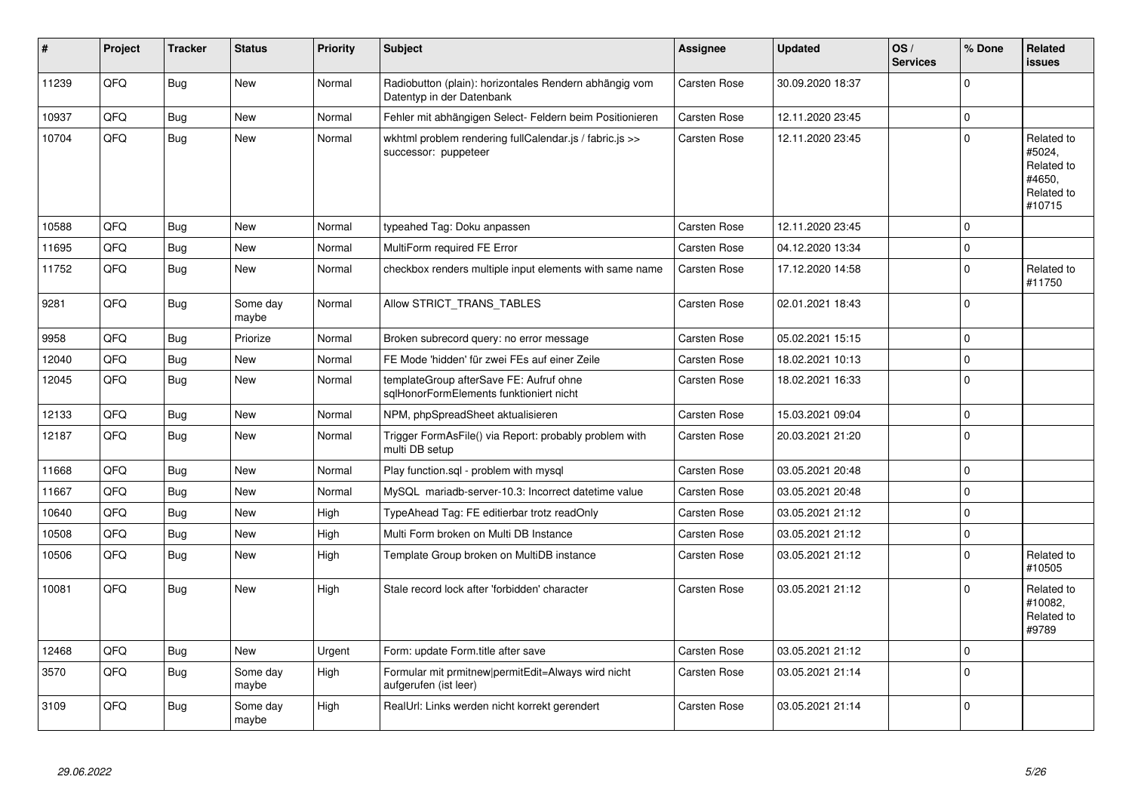| #     | Project | <b>Tracker</b> | <b>Status</b>     | <b>Priority</b> | <b>Subject</b>                                                                      | Assignee            | <b>Updated</b>   | OS/<br><b>Services</b> | % Done         | <b>Related</b><br><b>issues</b>                                      |
|-------|---------|----------------|-------------------|-----------------|-------------------------------------------------------------------------------------|---------------------|------------------|------------------------|----------------|----------------------------------------------------------------------|
| 11239 | QFQ     | Bug            | <b>New</b>        | Normal          | Radiobutton (plain): horizontales Rendern abhängig vom<br>Datentyp in der Datenbank | Carsten Rose        | 30.09.2020 18:37 |                        | $\overline{0}$ |                                                                      |
| 10937 | QFQ     | <b>Bug</b>     | <b>New</b>        | Normal          | Fehler mit abhängigen Select- Feldern beim Positionieren                            | Carsten Rose        | 12.11.2020 23:45 |                        | $\overline{0}$ |                                                                      |
| 10704 | QFQ     | <b>Bug</b>     | <b>New</b>        | Normal          | wkhtml problem rendering fullCalendar.js / fabric.js >><br>successor: puppeteer     | Carsten Rose        | 12.11.2020 23:45 |                        | $\overline{0}$ | Related to<br>#5024,<br>Related to<br>#4650,<br>Related to<br>#10715 |
| 10588 | QFQ     | Bug            | <b>New</b>        | Normal          | typeahed Tag: Doku anpassen                                                         | <b>Carsten Rose</b> | 12.11.2020 23:45 |                        | $\overline{0}$ |                                                                      |
| 11695 | QFQ     | Bug            | <b>New</b>        | Normal          | MultiForm required FE Error                                                         | Carsten Rose        | 04.12.2020 13:34 |                        | $\overline{0}$ |                                                                      |
| 11752 | QFQ     | <b>Bug</b>     | <b>New</b>        | Normal          | checkbox renders multiple input elements with same name                             | Carsten Rose        | 17.12.2020 14:58 |                        | $\overline{0}$ | Related to<br>#11750                                                 |
| 9281  | QFQ     | <b>Bug</b>     | Some day<br>maybe | Normal          | Allow STRICT_TRANS_TABLES                                                           | Carsten Rose        | 02.01.2021 18:43 |                        | $\overline{0}$ |                                                                      |
| 9958  | QFQ     | Bug            | Priorize          | Normal          | Broken subrecord query: no error message                                            | Carsten Rose        | 05.02.2021 15:15 |                        | $\overline{0}$ |                                                                      |
| 12040 | QFQ     | <b>Bug</b>     | <b>New</b>        | Normal          | FE Mode 'hidden' für zwei FEs auf einer Zeile                                       | <b>Carsten Rose</b> | 18.02.2021 10:13 |                        | $\overline{0}$ |                                                                      |
| 12045 | QFQ     | Bug            | <b>New</b>        | Normal          | templateGroup afterSave FE: Aufruf ohne<br>sglHonorFormElements funktioniert nicht  | Carsten Rose        | 18.02.2021 16:33 |                        | $\overline{0}$ |                                                                      |
| 12133 | QFQ     | <b>Bug</b>     | New               | Normal          | NPM, phpSpreadSheet aktualisieren                                                   | <b>Carsten Rose</b> | 15.03.2021 09:04 |                        | $\overline{0}$ |                                                                      |
| 12187 | QFQ     | Bug            | New               | Normal          | Trigger FormAsFile() via Report: probably problem with<br>multi DB setup            | Carsten Rose        | 20.03.2021 21:20 |                        | $\overline{0}$ |                                                                      |
| 11668 | QFQ     | <b>Bug</b>     | New               | Normal          | Play function.sql - problem with mysql                                              | Carsten Rose        | 03.05.2021 20:48 |                        | $\overline{0}$ |                                                                      |
| 11667 | QFQ     | Bug            | <b>New</b>        | Normal          | MySQL mariadb-server-10.3: Incorrect datetime value                                 | Carsten Rose        | 03.05.2021 20:48 |                        | $\overline{0}$ |                                                                      |
| 10640 | QFQ     | Bug            | <b>New</b>        | High            | TypeAhead Tag: FE editierbar trotz readOnly                                         | Carsten Rose        | 03.05.2021 21:12 |                        | $\overline{0}$ |                                                                      |
| 10508 | QFQ     | <b>Bug</b>     | <b>New</b>        | High            | Multi Form broken on Multi DB Instance                                              | <b>Carsten Rose</b> | 03.05.2021 21:12 |                        | $\overline{0}$ |                                                                      |
| 10506 | QFQ     | <b>Bug</b>     | <b>New</b>        | High            | Template Group broken on MultiDB instance                                           | Carsten Rose        | 03.05.2021 21:12 |                        | $\overline{0}$ | Related to<br>#10505                                                 |
| 10081 | QFQ     | Bug            | <b>New</b>        | High            | Stale record lock after 'forbidden' character                                       | Carsten Rose        | 03.05.2021 21:12 |                        | $\mathbf 0$    | Related to<br>#10082,<br>Related to<br>#9789                         |
| 12468 | QFQ     | <b>Bug</b>     | <b>New</b>        | Urgent          | Form: update Form.title after save                                                  | Carsten Rose        | 03.05.2021 21:12 |                        | $\overline{0}$ |                                                                      |
| 3570  | QFQ     | <b>Bug</b>     | Some day<br>maybe | High            | Formular mit prmitnew permitEdit=Always wird nicht<br>aufgerufen (ist leer)         | Carsten Rose        | 03.05.2021 21:14 |                        | $\overline{0}$ |                                                                      |
| 3109  | QFQ     | <b>Bug</b>     | Some day<br>maybe | High            | RealUrl: Links werden nicht korrekt gerendert                                       | Carsten Rose        | 03.05.2021 21:14 |                        | $\overline{0}$ |                                                                      |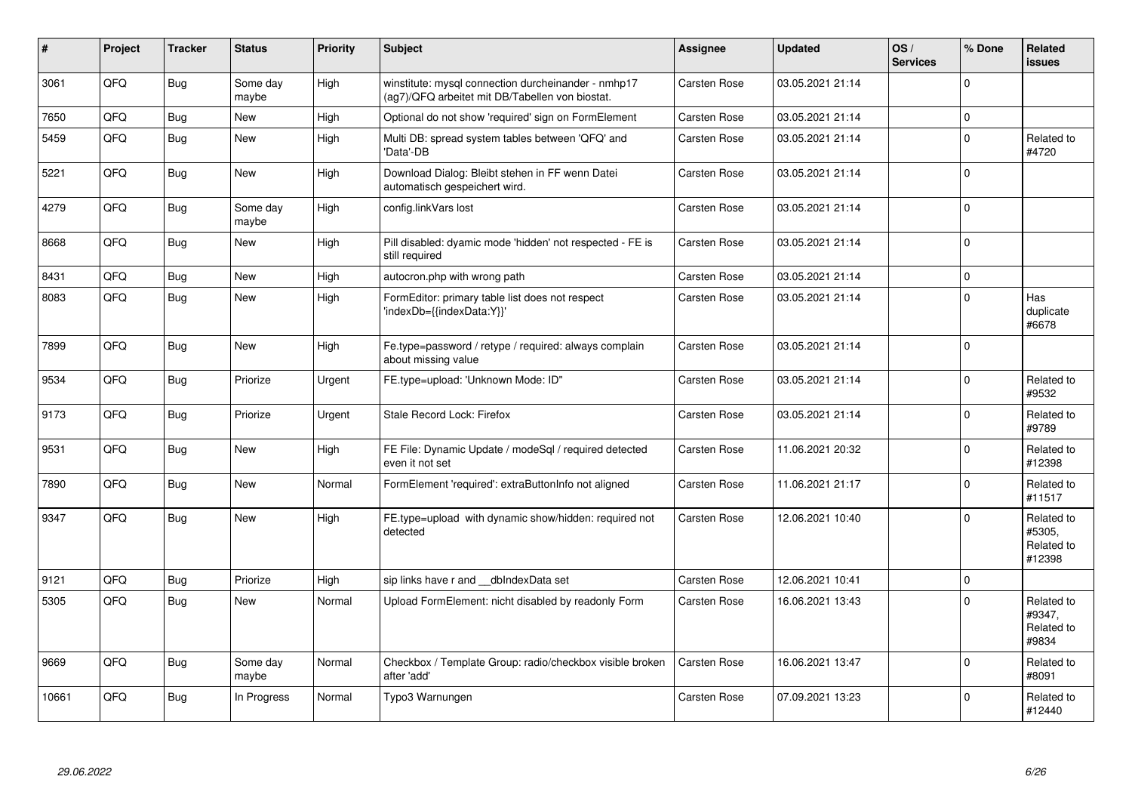| #     | Project | <b>Tracker</b> | <b>Status</b>     | <b>Priority</b> | <b>Subject</b>                                                                                         | <b>Assignee</b>     | <b>Updated</b>   | OS/<br><b>Services</b> | % Done      | <b>Related</b><br><b>issues</b>              |
|-------|---------|----------------|-------------------|-----------------|--------------------------------------------------------------------------------------------------------|---------------------|------------------|------------------------|-------------|----------------------------------------------|
| 3061  | QFQ     | Bug            | Some day<br>maybe | High            | winstitute: mysql connection durcheinander - nmhp17<br>(ag7)/QFQ arbeitet mit DB/Tabellen von biostat. | Carsten Rose        | 03.05.2021 21:14 |                        | $\Omega$    |                                              |
| 7650  | QFQ     | Bug            | New               | High            | Optional do not show 'required' sign on FormElement                                                    | Carsten Rose        | 03.05.2021 21:14 |                        | $\mathbf 0$ |                                              |
| 5459  | QFQ     | Bug            | New               | High            | Multi DB: spread system tables between 'QFQ' and<br>'Data'-DB                                          | Carsten Rose        | 03.05.2021 21:14 |                        | $\mathbf 0$ | Related to<br>#4720                          |
| 5221  | QFQ     | Bug            | <b>New</b>        | High            | Download Dialog: Bleibt stehen in FF wenn Datei<br>automatisch gespeichert wird.                       | Carsten Rose        | 03.05.2021 21:14 |                        | $\mathbf 0$ |                                              |
| 4279  | QFQ     | Bug            | Some day<br>maybe | High            | config.linkVars lost                                                                                   | Carsten Rose        | 03.05.2021 21:14 |                        | $\mathbf 0$ |                                              |
| 8668  | QFQ     | Bug            | <b>New</b>        | High            | Pill disabled: dyamic mode 'hidden' not respected - FE is<br>still required                            | Carsten Rose        | 03.05.2021 21:14 |                        | $\mathbf 0$ |                                              |
| 8431  | QFQ     | <b>Bug</b>     | <b>New</b>        | High            | autocron.php with wrong path                                                                           | Carsten Rose        | 03.05.2021 21:14 |                        | $\Omega$    |                                              |
| 8083  | QFQ     | Bug            | New               | High            | FormEditor: primary table list does not respect<br>'indexDb={{indexData:Y}}'                           | Carsten Rose        | 03.05.2021 21:14 |                        | $\mathbf 0$ | Has<br>duplicate<br>#6678                    |
| 7899  | QFQ     | Bug            | New               | High            | Fe.type=password / retype / required: always complain<br>about missing value                           | Carsten Rose        | 03.05.2021 21:14 |                        | $\Omega$    |                                              |
| 9534  | QFQ     | <b>Bug</b>     | Priorize          | Urgent          | FE.type=upload: 'Unknown Mode: ID"                                                                     | Carsten Rose        | 03.05.2021 21:14 |                        | $\pmb{0}$   | Related to<br>#9532                          |
| 9173  | QFQ     | Bug            | Priorize          | Urgent          | Stale Record Lock: Firefox                                                                             | Carsten Rose        | 03.05.2021 21:14 |                        | $\mathbf 0$ | Related to<br>#9789                          |
| 9531  | QFQ     | Bug            | New               | High            | FE File: Dynamic Update / modeSql / required detected<br>even it not set                               | Carsten Rose        | 11.06.2021 20:32 |                        | $\mathbf 0$ | Related to<br>#12398                         |
| 7890  | QFQ     | <b>Bug</b>     | <b>New</b>        | Normal          | FormElement 'required': extraButtonInfo not aligned                                                    | Carsten Rose        | 11.06.2021 21:17 |                        | $\mathbf 0$ | Related to<br>#11517                         |
| 9347  | QFQ     | <b>Bug</b>     | <b>New</b>        | High            | FE.type=upload with dynamic show/hidden: required not<br>detected                                      | <b>Carsten Rose</b> | 12.06.2021 10:40 |                        | $\Omega$    | Related to<br>#5305,<br>Related to<br>#12398 |
| 9121  | QFQ     | <b>Bug</b>     | Priorize          | High            | sip links have r and dblndexData set                                                                   | Carsten Rose        | 12.06.2021 10:41 |                        | $\mathbf 0$ |                                              |
| 5305  | QFQ     | Bug            | <b>New</b>        | Normal          | Upload FormElement: nicht disabled by readonly Form                                                    | Carsten Rose        | 16.06.2021 13:43 |                        | $\mathbf 0$ | Related to<br>#9347,<br>Related to<br>#9834  |
| 9669  | QFQ     | <b>Bug</b>     | Some day<br>maybe | Normal          | Checkbox / Template Group: radio/checkbox visible broken<br>after 'add'                                | Carsten Rose        | 16.06.2021 13:47 |                        | $\mathbf 0$ | Related to<br>#8091                          |
| 10661 | QFQ     | Bug            | In Progress       | Normal          | Typo3 Warnungen                                                                                        | Carsten Rose        | 07.09.2021 13:23 |                        | $\Omega$    | Related to<br>#12440                         |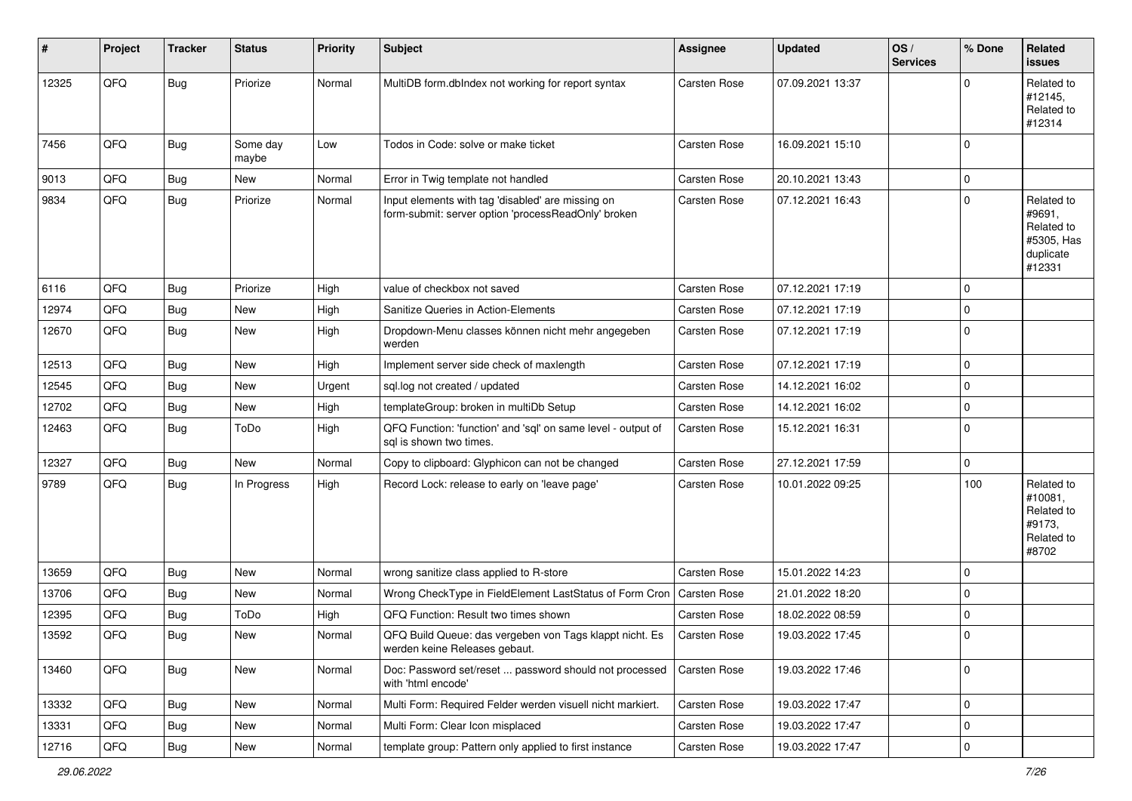| $\sharp$ | Project | <b>Tracker</b> | <b>Status</b>     | <b>Priority</b> | <b>Subject</b>                                                                                           | <b>Assignee</b>     | <b>Updated</b>   | OS/<br><b>Services</b> | % Done              | Related<br><b>issues</b>                                                |
|----------|---------|----------------|-------------------|-----------------|----------------------------------------------------------------------------------------------------------|---------------------|------------------|------------------------|---------------------|-------------------------------------------------------------------------|
| 12325    | QFQ     | <b>Bug</b>     | Priorize          | Normal          | MultiDB form.dblndex not working for report syntax                                                       | Carsten Rose        | 07.09.2021 13:37 |                        | $\Omega$            | Related to<br>#12145,<br>Related to<br>#12314                           |
| 7456     | QFQ     | <b>Bug</b>     | Some day<br>maybe | Low             | Todos in Code: solve or make ticket                                                                      | Carsten Rose        | 16.09.2021 15:10 |                        | $\mathbf 0$         |                                                                         |
| 9013     | QFQ     | Bug            | <b>New</b>        | Normal          | Error in Twig template not handled                                                                       | Carsten Rose        | 20.10.2021 13:43 |                        | $\mathbf 0$         |                                                                         |
| 9834     | QFQ     | Bug            | Priorize          | Normal          | Input elements with tag 'disabled' are missing on<br>form-submit: server option 'processReadOnly' broken | Carsten Rose        | 07.12.2021 16:43 |                        | $\mathbf 0$         | Related to<br>#9691,<br>Related to<br>#5305, Has<br>duplicate<br>#12331 |
| 6116     | QFQ     | Bug            | Priorize          | High            | value of checkbox not saved                                                                              | Carsten Rose        | 07.12.2021 17:19 |                        | $\mathbf 0$         |                                                                         |
| 12974    | QFQ     | Bug            | New               | High            | Sanitize Queries in Action-Elements                                                                      | <b>Carsten Rose</b> | 07.12.2021 17:19 |                        | $\mathbf 0$         |                                                                         |
| 12670    | QFQ     | Bug            | <b>New</b>        | High            | Dropdown-Menu classes können nicht mehr angegeben<br>werden                                              | Carsten Rose        | 07.12.2021 17:19 |                        | $\mathbf 0$         |                                                                         |
| 12513    | QFQ     | Bug            | New               | High            | Implement server side check of maxlength                                                                 | Carsten Rose        | 07.12.2021 17:19 |                        | $\pmb{0}$           |                                                                         |
| 12545    | QFQ     | Bug            | New               | Urgent          | sql.log not created / updated                                                                            | Carsten Rose        | 14.12.2021 16:02 |                        | $\mathbf 0$         |                                                                         |
| 12702    | QFQ     | Bug            | New               | High            | templateGroup: broken in multiDb Setup                                                                   | <b>Carsten Rose</b> | 14.12.2021 16:02 |                        | $\mathbf 0$         |                                                                         |
| 12463    | QFQ     | <b>Bug</b>     | ToDo              | High            | QFQ Function: 'function' and 'sql' on same level - output of<br>sql is shown two times.                  | Carsten Rose        | 15.12.2021 16:31 |                        | $\mathbf 0$         |                                                                         |
| 12327    | QFQ     | Bug            | <b>New</b>        | Normal          | Copy to clipboard: Glyphicon can not be changed                                                          | Carsten Rose        | 27.12.2021 17:59 |                        | $\mathbf 0$         |                                                                         |
| 9789     | QFQ     | Bug            | In Progress       | High            | Record Lock: release to early on 'leave page'                                                            | Carsten Rose        | 10.01.2022 09:25 |                        | 100                 | Related to<br>#10081,<br>Related to<br>#9173,<br>Related to<br>#8702    |
| 13659    | QFQ     | Bug            | <b>New</b>        | Normal          | wrong sanitize class applied to R-store                                                                  | Carsten Rose        | 15.01.2022 14:23 |                        | $\mathbf 0$         |                                                                         |
| 13706    | QFQ     | <b>Bug</b>     | <b>New</b>        | Normal          | Wrong CheckType in FieldElement LastStatus of Form Cron                                                  | <b>Carsten Rose</b> | 21.01.2022 18:20 |                        | $\mathbf 0$         |                                                                         |
| 12395    | QFQ     | <b>Bug</b>     | ToDo              | High            | QFQ Function: Result two times shown                                                                     | Carsten Rose        | 18.02.2022 08:59 |                        | $\mathbf 0$         |                                                                         |
| 13592    | QFQ     | Bug            | New               | Normal          | QFQ Build Queue: das vergeben von Tags klappt nicht. Es<br>werden keine Releases gebaut.                 | Carsten Rose        | 19.03.2022 17:45 |                        | $\Omega$            |                                                                         |
| 13460    | QFQ     | <b>Bug</b>     | New               | Normal          | Doc: Password set/reset  password should not processed<br>with 'html encode'                             | Carsten Rose        | 19.03.2022 17:46 |                        | $\mathbf 0$         |                                                                         |
| 13332    | QFQ     | <b>Bug</b>     | New               | Normal          | Multi Form: Required Felder werden visuell nicht markiert.                                               | Carsten Rose        | 19.03.2022 17:47 |                        | $\mathbf 0$         |                                                                         |
| 13331    | QFQ     | <b>Bug</b>     | New               | Normal          | Multi Form: Clear Icon misplaced                                                                         | Carsten Rose        | 19.03.2022 17:47 |                        | $\pmb{0}$           |                                                                         |
| 12716    | QFQ     | <b>Bug</b>     | New               | Normal          | template group: Pattern only applied to first instance                                                   | Carsten Rose        | 19.03.2022 17:47 |                        | $\mathsf{O}\xspace$ |                                                                         |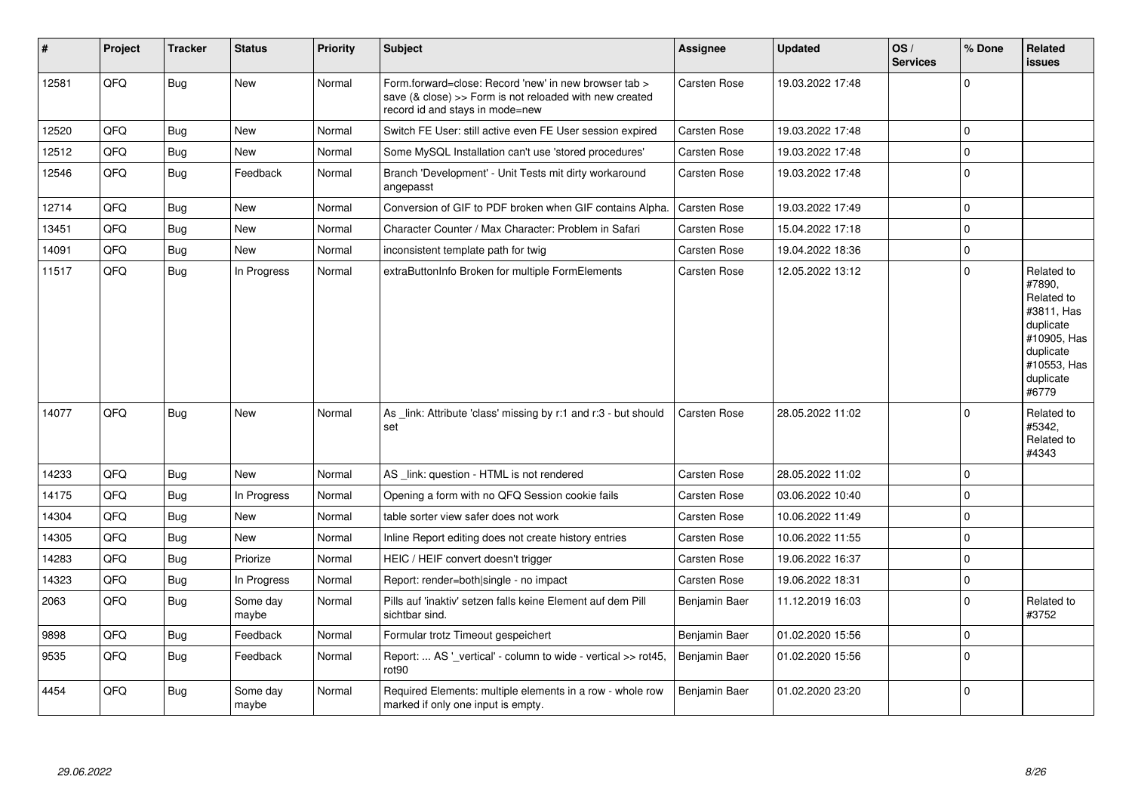| #     | Project | <b>Tracker</b> | <b>Status</b>     | <b>Priority</b> | <b>Subject</b>                                                                                                                                      | Assignee            | <b>Updated</b>   | OS/<br><b>Services</b> | % Done      | Related<br><b>issues</b>                                                                                                       |
|-------|---------|----------------|-------------------|-----------------|-----------------------------------------------------------------------------------------------------------------------------------------------------|---------------------|------------------|------------------------|-------------|--------------------------------------------------------------------------------------------------------------------------------|
| 12581 | QFQ     | <b>Bug</b>     | New               | Normal          | Form.forward=close: Record 'new' in new browser tab ><br>save (& close) >> Form is not reloaded with new created<br>record id and stays in mode=new | Carsten Rose        | 19.03.2022 17:48 |                        | $\Omega$    |                                                                                                                                |
| 12520 | QFQ     | Bug            | <b>New</b>        | Normal          | Switch FE User: still active even FE User session expired                                                                                           | <b>Carsten Rose</b> | 19.03.2022 17:48 |                        | $\Omega$    |                                                                                                                                |
| 12512 | QFQ     | Bug            | <b>New</b>        | Normal          | Some MySQL Installation can't use 'stored procedures'                                                                                               | Carsten Rose        | 19.03.2022 17:48 |                        | $\Omega$    |                                                                                                                                |
| 12546 | QFQ     | <b>Bug</b>     | Feedback          | Normal          | Branch 'Development' - Unit Tests mit dirty workaround<br>angepasst                                                                                 | Carsten Rose        | 19.03.2022 17:48 |                        | $\mathbf 0$ |                                                                                                                                |
| 12714 | QFQ     | Bug            | <b>New</b>        | Normal          | Conversion of GIF to PDF broken when GIF contains Alpha.                                                                                            | Carsten Rose        | 19.03.2022 17:49 |                        | $\Omega$    |                                                                                                                                |
| 13451 | QFQ     | Bug            | New               | Normal          | Character Counter / Max Character: Problem in Safari                                                                                                | Carsten Rose        | 15.04.2022 17:18 |                        | $\Omega$    |                                                                                                                                |
| 14091 | QFQ     | <b>Bug</b>     | New               | Normal          | inconsistent template path for twig                                                                                                                 | Carsten Rose        | 19.04.2022 18:36 |                        | $\Omega$    |                                                                                                                                |
| 11517 | QFQ     | Bug            | In Progress       | Normal          | extraButtonInfo Broken for multiple FormElements                                                                                                    | <b>Carsten Rose</b> | 12.05.2022 13:12 |                        | $\Omega$    | Related to<br>#7890,<br>Related to<br>#3811, Has<br>duplicate<br>#10905, Has<br>duplicate<br>#10553, Has<br>duplicate<br>#6779 |
| 14077 | QFQ     | Bug            | New               | Normal          | As _link: Attribute 'class' missing by r:1 and r:3 - but should<br>set                                                                              | Carsten Rose        | 28.05.2022 11:02 |                        | $\Omega$    | Related to<br>#5342,<br>Related to<br>#4343                                                                                    |
| 14233 | QFQ     | Bug            | <b>New</b>        | Normal          | AS _link: question - HTML is not rendered                                                                                                           | Carsten Rose        | 28.05.2022 11:02 |                        | $\mathbf 0$ |                                                                                                                                |
| 14175 | QFQ     | <b>Bug</b>     | In Progress       | Normal          | Opening a form with no QFQ Session cookie fails                                                                                                     | <b>Carsten Rose</b> | 03.06.2022 10:40 |                        | $\mathbf 0$ |                                                                                                                                |
| 14304 | QFQ     | Bug            | <b>New</b>        | Normal          | table sorter view safer does not work                                                                                                               | <b>Carsten Rose</b> | 10.06.2022 11:49 |                        | $\Omega$    |                                                                                                                                |
| 14305 | QFQ     | Bug            | New               | Normal          | Inline Report editing does not create history entries                                                                                               | Carsten Rose        | 10.06.2022 11:55 |                        | $\Omega$    |                                                                                                                                |
| 14283 | QFQ     | <b>Bug</b>     | Priorize          | Normal          | HEIC / HEIF convert doesn't trigger                                                                                                                 | <b>Carsten Rose</b> | 19.06.2022 16:37 |                        | $\mathbf 0$ |                                                                                                                                |
| 14323 | QFQ     | Bug            | In Progress       | Normal          | Report: render=both single - no impact                                                                                                              | Carsten Rose        | 19.06.2022 18:31 |                        | $\mathbf 0$ |                                                                                                                                |
| 2063  | QFQ     | <b>Bug</b>     | Some day<br>maybe | Normal          | Pills auf 'inaktiv' setzen falls keine Element auf dem Pill<br>sichtbar sind.                                                                       | Benjamin Baer       | 11.12.2019 16:03 |                        | $\Omega$    | Related to<br>#3752                                                                                                            |
| 9898  | QFQ     | Bug            | Feedback          | Normal          | Formular trotz Timeout gespeichert                                                                                                                  | Benjamin Baer       | 01.02.2020 15:56 |                        | $\Omega$    |                                                                                                                                |
| 9535  | QFQ     | <b>Bug</b>     | Feedback          | Normal          | Report:  AS ' vertical' - column to wide - vertical >> rot45,<br>rot <sub>90</sub>                                                                  | Benjamin Baer       | 01.02.2020 15:56 |                        | $\Omega$    |                                                                                                                                |
| 4454  | QFQ     | <b>Bug</b>     | Some day<br>maybe | Normal          | Required Elements: multiple elements in a row - whole row<br>marked if only one input is empty.                                                     | Benjamin Baer       | 01.02.2020 23:20 |                        | $\mathbf 0$ |                                                                                                                                |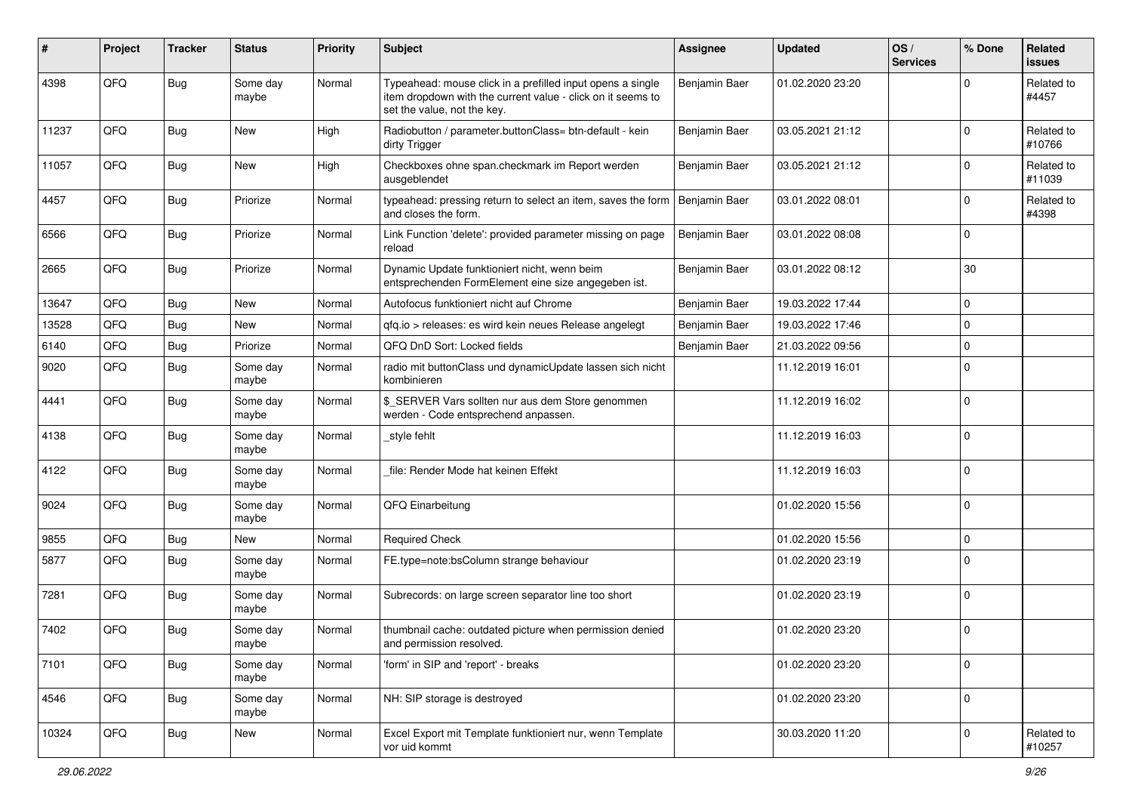| #     | Project | <b>Tracker</b> | <b>Status</b>     | <b>Priority</b> | <b>Subject</b>                                                                                                                                           | <b>Assignee</b> | <b>Updated</b>   | OS/<br><b>Services</b> | % Done         | Related<br><b>issues</b> |
|-------|---------|----------------|-------------------|-----------------|----------------------------------------------------------------------------------------------------------------------------------------------------------|-----------------|------------------|------------------------|----------------|--------------------------|
| 4398  | QFQ     | <b>Bug</b>     | Some day<br>maybe | Normal          | Typeahead: mouse click in a prefilled input opens a single<br>item dropdown with the current value - click on it seems to<br>set the value, not the key. | Benjamin Baer   | 01.02.2020 23:20 |                        | $\mathbf 0$    | Related to<br>#4457      |
| 11237 | QFQ     | <b>Bug</b>     | New               | High            | Radiobutton / parameter.buttonClass= btn-default - kein<br>dirty Trigger                                                                                 | Benjamin Baer   | 03.05.2021 21:12 |                        | $\overline{0}$ | Related to<br>#10766     |
| 11057 | QFQ     | <b>Bug</b>     | New               | High            | Checkboxes ohne span.checkmark im Report werden<br>ausgeblendet                                                                                          | Benjamin Baer   | 03.05.2021 21:12 |                        | $\overline{0}$ | Related to<br>#11039     |
| 4457  | QFQ     | Bug            | Priorize          | Normal          | typeahead: pressing return to select an item, saves the form<br>and closes the form.                                                                     | Benjamin Baer   | 03.01.2022 08:01 |                        | 0              | Related to<br>#4398      |
| 6566  | QFQ     | <b>Bug</b>     | Priorize          | Normal          | Link Function 'delete': provided parameter missing on page<br>reload                                                                                     | Benjamin Baer   | 03.01.2022 08:08 |                        | $\overline{0}$ |                          |
| 2665  | QFQ     | <b>Bug</b>     | Priorize          | Normal          | Dynamic Update funktioniert nicht, wenn beim<br>entsprechenden FormElement eine size angegeben ist.                                                      | Benjamin Baer   | 03.01.2022 08:12 |                        | 30             |                          |
| 13647 | QFQ     | Bug            | <b>New</b>        | Normal          | Autofocus funktioniert nicht auf Chrome                                                                                                                  | Benjamin Baer   | 19.03.2022 17:44 |                        | $\overline{0}$ |                          |
| 13528 | QFQ     | Bug            | New               | Normal          | qfq.io > releases: es wird kein neues Release angelegt                                                                                                   | Benjamin Baer   | 19.03.2022 17:46 |                        | $\overline{0}$ |                          |
| 6140  | QFQ     | <b>Bug</b>     | Priorize          | Normal          | QFQ DnD Sort: Locked fields                                                                                                                              | Benjamin Baer   | 21.03.2022 09:56 |                        | $\overline{0}$ |                          |
| 9020  | QFQ     | <b>Bug</b>     | Some day<br>maybe | Normal          | radio mit buttonClass und dynamicUpdate lassen sich nicht<br>kombinieren                                                                                 |                 | 11.12.2019 16:01 |                        | $\mathbf 0$    |                          |
| 4441  | QFQ     | Bug            | Some day<br>maybe | Normal          | \$_SERVER Vars sollten nur aus dem Store genommen<br>werden - Code entsprechend anpassen.                                                                |                 | 11.12.2019 16:02 |                        | $\overline{0}$ |                          |
| 4138  | QFQ     | <b>Bug</b>     | Some day<br>maybe | Normal          | _style fehlt                                                                                                                                             |                 | 11.12.2019 16:03 |                        | $\overline{0}$ |                          |
| 4122  | QFQ     | <b>Bug</b>     | Some day<br>maybe | Normal          | file: Render Mode hat keinen Effekt                                                                                                                      |                 | 11.12.2019 16:03 |                        | $\overline{0}$ |                          |
| 9024  | QFQ     | Bug            | Some day<br>maybe | Normal          | QFQ Einarbeitung                                                                                                                                         |                 | 01.02.2020 15:56 |                        | $\overline{0}$ |                          |
| 9855  | QFQ     | <b>Bug</b>     | New               | Normal          | <b>Required Check</b>                                                                                                                                    |                 | 01.02.2020 15:56 |                        | 0              |                          |
| 5877  | QFQ     | Bug            | Some day<br>maybe | Normal          | FE.type=note:bsColumn strange behaviour                                                                                                                  |                 | 01.02.2020 23:19 |                        | 0              |                          |
| 7281  | QFQ     | Bug            | Some day<br>maybe | Normal          | Subrecords: on large screen separator line too short                                                                                                     |                 | 01.02.2020 23:19 |                        | $\overline{0}$ |                          |
| 7402  | QFQ     | Bug            | Some day<br>maybe | Normal          | thumbnail cache: outdated picture when permission denied<br>and permission resolved.                                                                     |                 | 01.02.2020 23:20 |                        | $\overline{0}$ |                          |
| 7101  | QFQ     | <b>Bug</b>     | Some day<br>maybe | Normal          | 'form' in SIP and 'report' - breaks                                                                                                                      |                 | 01.02.2020 23:20 |                        | $\overline{0}$ |                          |
| 4546  | QFQ     | <b>Bug</b>     | Some day<br>maybe | Normal          | NH: SIP storage is destroyed                                                                                                                             |                 | 01.02.2020 23:20 |                        | $\overline{0}$ |                          |
| 10324 | QFQ     | Bug            | New               | Normal          | Excel Export mit Template funktioniert nur, wenn Template<br>vor uid kommt                                                                               |                 | 30.03.2020 11:20 |                        | $\mathbf 0$    | Related to<br>#10257     |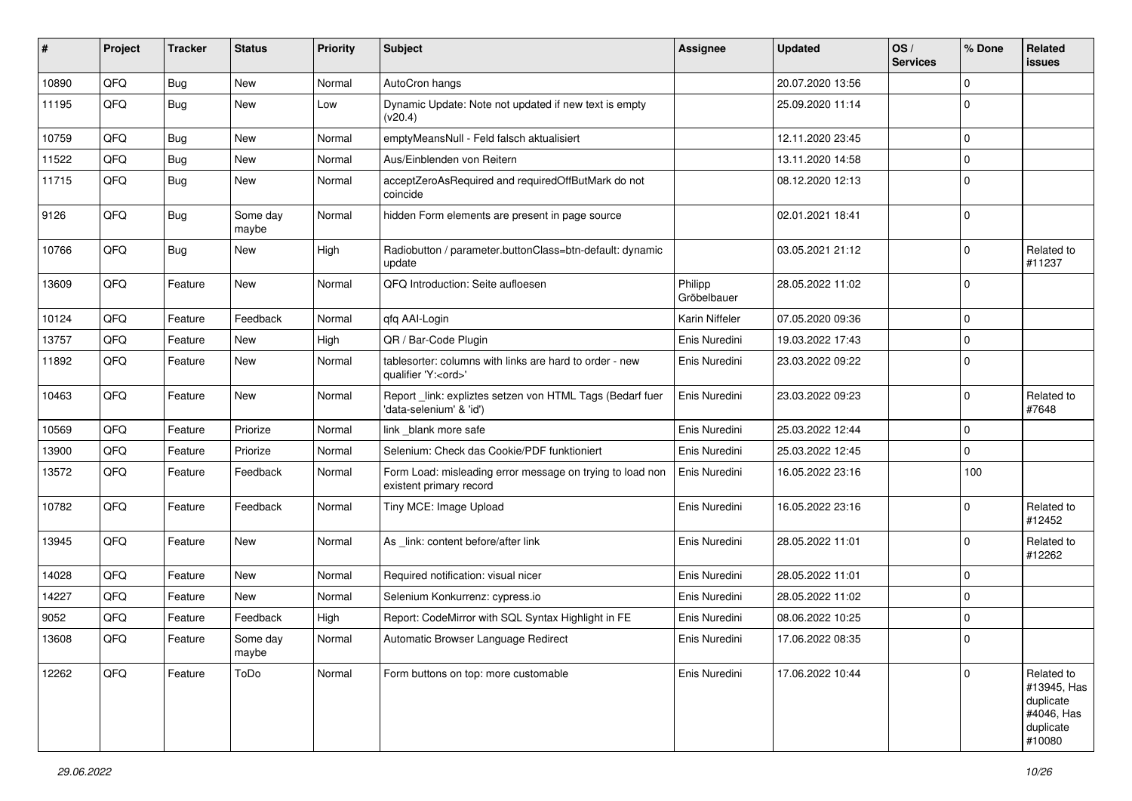| #     | Project | <b>Tracker</b> | <b>Status</b>     | <b>Priority</b> | Subject                                                                               | Assignee               | <b>Updated</b>   | OS/<br><b>Services</b> | % Done      | Related<br>issues                                                           |
|-------|---------|----------------|-------------------|-----------------|---------------------------------------------------------------------------------------|------------------------|------------------|------------------------|-------------|-----------------------------------------------------------------------------|
| 10890 | QFQ     | <b>Bug</b>     | <b>New</b>        | Normal          | AutoCron hangs                                                                        |                        | 20.07.2020 13:56 |                        | $\Omega$    |                                                                             |
| 11195 | QFQ     | <b>Bug</b>     | New               | Low             | Dynamic Update: Note not updated if new text is empty<br>(v20.4)                      |                        | 25.09.2020 11:14 |                        | $\Omega$    |                                                                             |
| 10759 | QFQ     | <b>Bug</b>     | New               | Normal          | emptyMeansNull - Feld falsch aktualisiert                                             |                        | 12.11.2020 23:45 |                        | $\mathbf 0$ |                                                                             |
| 11522 | QFQ     | <b>Bug</b>     | New               | Normal          | Aus/Einblenden von Reitern                                                            |                        | 13.11.2020 14:58 |                        | $\Omega$    |                                                                             |
| 11715 | QFQ     | <b>Bug</b>     | New               | Normal          | acceptZeroAsRequired and requiredOffButMark do not<br>coincide                        |                        | 08.12.2020 12:13 |                        | $\Omega$    |                                                                             |
| 9126  | QFQ     | Bug            | Some day<br>maybe | Normal          | hidden Form elements are present in page source                                       |                        | 02.01.2021 18:41 |                        | $\mathbf 0$ |                                                                             |
| 10766 | QFQ     | <b>Bug</b>     | New               | High            | Radiobutton / parameter.buttonClass=btn-default: dynamic<br>update                    |                        | 03.05.2021 21:12 |                        | $\Omega$    | Related to<br>#11237                                                        |
| 13609 | QFQ     | Feature        | New               | Normal          | QFQ Introduction: Seite aufloesen                                                     | Philipp<br>Gröbelbauer | 28.05.2022 11:02 |                        | $\Omega$    |                                                                             |
| 10124 | QFQ     | Feature        | Feedback          | Normal          | qfq AAI-Login                                                                         | Karin Niffeler         | 07.05.2020 09:36 |                        | $\mathbf 0$ |                                                                             |
| 13757 | QFQ     | Feature        | New               | High            | QR / Bar-Code Plugin                                                                  | Enis Nuredini          | 19.03.2022 17:43 |                        | $\mathbf 0$ |                                                                             |
| 11892 | QFQ     | Feature        | New               | Normal          | tablesorter: columns with links are hard to order - new<br>qualifier 'Y: <ord>'</ord> | Enis Nuredini          | 23.03.2022 09:22 |                        | $\Omega$    |                                                                             |
| 10463 | QFQ     | Feature        | New               | Normal          | Report_link: expliztes setzen von HTML Tags (Bedarf fuer<br>'data-selenium' & 'id')   | Enis Nuredini          | 23.03.2022 09:23 |                        | 0           | Related to<br>#7648                                                         |
| 10569 | QFQ     | Feature        | Priorize          | Normal          | link _blank more safe                                                                 | Enis Nuredini          | 25.03.2022 12:44 |                        | $\mathbf 0$ |                                                                             |
| 13900 | QFQ     | Feature        | Priorize          | Normal          | Selenium: Check das Cookie/PDF funktioniert                                           | Enis Nuredini          | 25.03.2022 12:45 |                        | $\Omega$    |                                                                             |
| 13572 | QFQ     | Feature        | Feedback          | Normal          | Form Load: misleading error message on trying to load non<br>existent primary record  | Enis Nuredini          | 16.05.2022 23:16 |                        | 100         |                                                                             |
| 10782 | QFQ     | Feature        | Feedback          | Normal          | Tiny MCE: Image Upload                                                                | Enis Nuredini          | 16.05.2022 23:16 |                        | $\Omega$    | Related to<br>#12452                                                        |
| 13945 | QFQ     | Feature        | New               | Normal          | As _link: content before/after link                                                   | Enis Nuredini          | 28.05.2022 11:01 |                        | $\mathbf 0$ | Related to<br>#12262                                                        |
| 14028 | QFQ     | Feature        | New               | Normal          | Required notification: visual nicer                                                   | Enis Nuredini          | 28.05.2022 11:01 |                        | $\mathbf 0$ |                                                                             |
| 14227 | QFQ     | Feature        | <b>New</b>        | Normal          | Selenium Konkurrenz: cypress.io                                                       | Enis Nuredini          | 28.05.2022 11:02 |                        | 0           |                                                                             |
| 9052  | QFQ     | Feature        | Feedback          | High            | Report: CodeMirror with SQL Syntax Highlight in FE                                    | Enis Nuredini          | 08.06.2022 10:25 |                        | $\mathbf 0$ |                                                                             |
| 13608 | QFQ     | Feature        | Some day<br>maybe | Normal          | Automatic Browser Language Redirect                                                   | Enis Nuredini          | 17.06.2022 08:35 |                        | $\Omega$    |                                                                             |
| 12262 | QFQ     | Feature        | ToDo              | Normal          | Form buttons on top: more customable                                                  | Enis Nuredini          | 17.06.2022 10:44 |                        | $\mathbf 0$ | Related to<br>#13945, Has<br>duplicate<br>#4046, Has<br>duplicate<br>#10080 |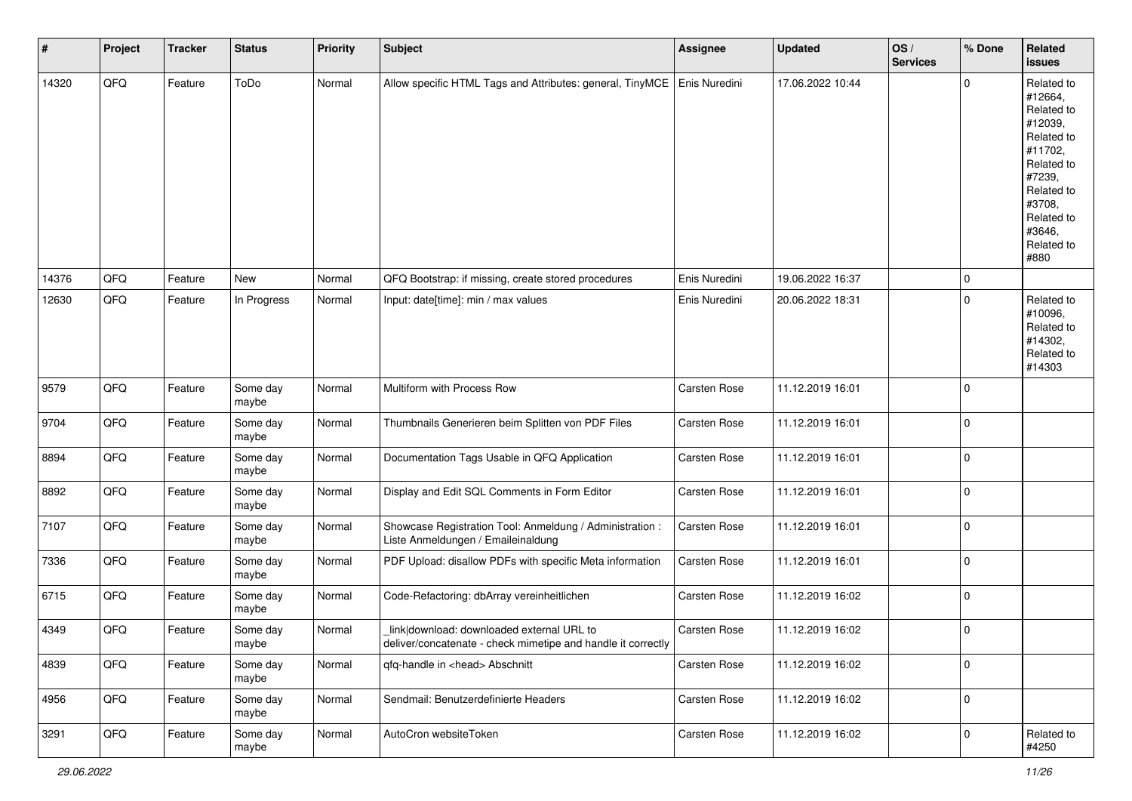| $\sharp$ | Project | <b>Tracker</b> | <b>Status</b>     | <b>Priority</b> | <b>Subject</b>                                                                                            | Assignee      | <b>Updated</b>   | OS/<br><b>Services</b> | % Done      | Related<br><b>issues</b>                                                                                                                                              |
|----------|---------|----------------|-------------------|-----------------|-----------------------------------------------------------------------------------------------------------|---------------|------------------|------------------------|-------------|-----------------------------------------------------------------------------------------------------------------------------------------------------------------------|
| 14320    | QFO     | Feature        | ToDo              | Normal          | Allow specific HTML Tags and Attributes: general, TinyMCE                                                 | Enis Nuredini | 17.06.2022 10:44 |                        | $\mathbf 0$ | Related to<br>#12664,<br>Related to<br>#12039,<br>Related to<br>#11702,<br>Related to<br>#7239,<br>Related to<br>#3708,<br>Related to<br>#3646,<br>Related to<br>#880 |
| 14376    | QFQ     | Feature        | New               | Normal          | QFQ Bootstrap: if missing, create stored procedures                                                       | Enis Nuredini | 19.06.2022 16:37 |                        | $\mathbf 0$ |                                                                                                                                                                       |
| 12630    | QFQ     | Feature        | In Progress       | Normal          | Input: date[time]: min / max values                                                                       | Enis Nuredini | 20.06.2022 18:31 |                        | $\mathbf 0$ | Related to<br>#10096,<br>Related to<br>#14302,<br>Related to<br>#14303                                                                                                |
| 9579     | QFQ     | Feature        | Some day<br>maybe | Normal          | Multiform with Process Row                                                                                | Carsten Rose  | 11.12.2019 16:01 |                        | $\mathbf 0$ |                                                                                                                                                                       |
| 9704     | QFQ     | Feature        | Some day<br>maybe | Normal          | Thumbnails Generieren beim Splitten von PDF Files                                                         | Carsten Rose  | 11.12.2019 16:01 |                        | $\pmb{0}$   |                                                                                                                                                                       |
| 8894     | QFQ     | Feature        | Some day<br>maybe | Normal          | Documentation Tags Usable in QFQ Application                                                              | Carsten Rose  | 11.12.2019 16:01 |                        | $\mathbf 0$ |                                                                                                                                                                       |
| 8892     | QFQ     | Feature        | Some day<br>maybe | Normal          | Display and Edit SQL Comments in Form Editor                                                              | Carsten Rose  | 11.12.2019 16:01 |                        | $\mathbf 0$ |                                                                                                                                                                       |
| 7107     | QFQ     | Feature        | Some day<br>maybe | Normal          | Showcase Registration Tool: Anmeldung / Administration :<br>Liste Anmeldungen / Emaileinaldung            | Carsten Rose  | 11.12.2019 16:01 |                        | $\mathbf 0$ |                                                                                                                                                                       |
| 7336     | QFQ     | Feature        | Some day<br>maybe | Normal          | PDF Upload: disallow PDFs with specific Meta information                                                  | Carsten Rose  | 11.12.2019 16:01 |                        | $\mathbf 0$ |                                                                                                                                                                       |
| 6715     | QFQ     | Feature        | Some day<br>maybe | Normal          | Code-Refactoring: dbArray vereinheitlichen                                                                | Carsten Rose  | 11.12.2019 16:02 |                        | $\mathbf 0$ |                                                                                                                                                                       |
| 4349     | QFQ     | Feature        | Some day<br>maybe | Normal          | link download: downloaded external URL to<br>deliver/concatenate - check mimetipe and handle it correctly | Carsten Rose  | 11.12.2019 16:02 |                        | $\mathbf 0$ |                                                                                                                                                                       |
| 4839     | QFQ     | Feature        | Some day<br>maybe | Normal          | qfq-handle in <head> Abschnitt</head>                                                                     | Carsten Rose  | 11.12.2019 16:02 |                        | $\mathbf 0$ |                                                                                                                                                                       |
| 4956     | QFQ     | Feature        | Some day<br>maybe | Normal          | Sendmail: Benutzerdefinierte Headers                                                                      | Carsten Rose  | 11.12.2019 16:02 |                        | $\mathbf 0$ |                                                                                                                                                                       |
| 3291     | QFO     | Feature        | Some day<br>maybe | Normal          | AutoCron websiteToken                                                                                     | Carsten Rose  | 11.12.2019 16:02 |                        | $\mathbf 0$ | Related to<br>#4250                                                                                                                                                   |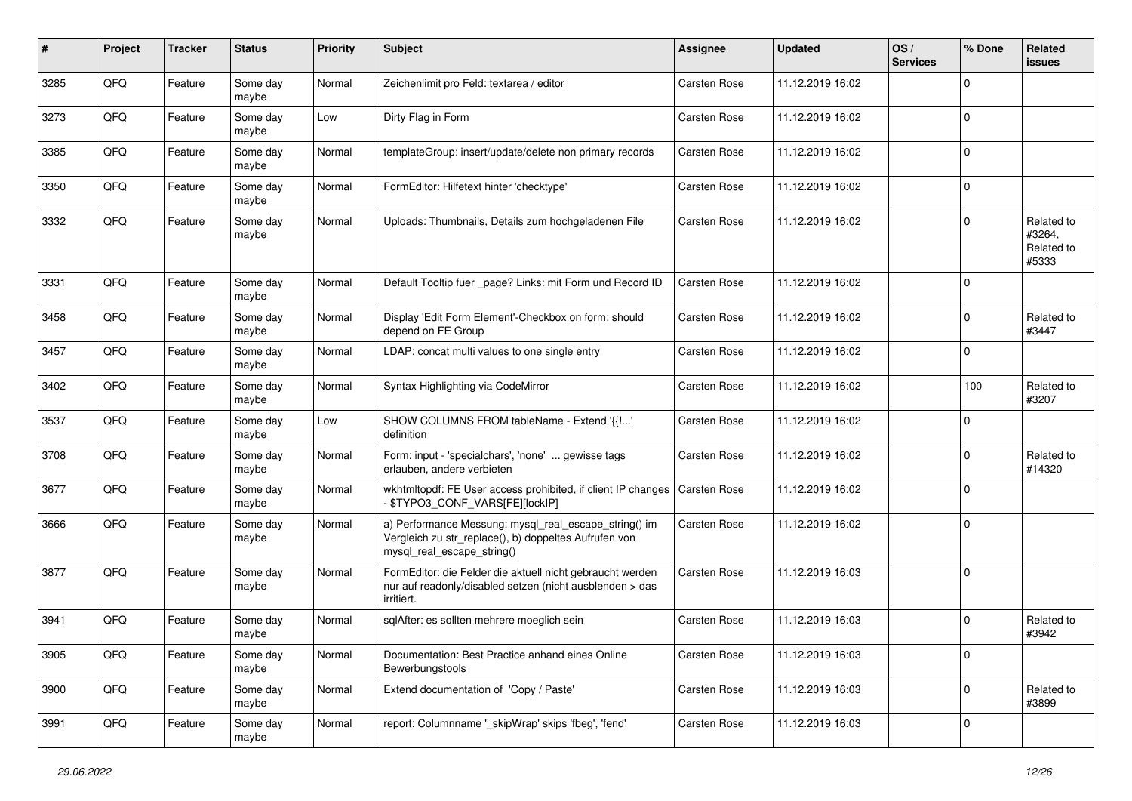| ∦    | Project | <b>Tracker</b> | <b>Status</b>     | <b>Priority</b> | <b>Subject</b>                                                                                                                               | <b>Assignee</b> | <b>Updated</b>   | OS/<br><b>Services</b> | % Done      | <b>Related</b><br><b>issues</b>             |
|------|---------|----------------|-------------------|-----------------|----------------------------------------------------------------------------------------------------------------------------------------------|-----------------|------------------|------------------------|-------------|---------------------------------------------|
| 3285 | QFQ     | Feature        | Some day<br>maybe | Normal          | Zeichenlimit pro Feld: textarea / editor                                                                                                     | Carsten Rose    | 11.12.2019 16:02 |                        | $\mathbf 0$ |                                             |
| 3273 | QFQ     | Feature        | Some day<br>maybe | Low             | Dirty Flag in Form                                                                                                                           | Carsten Rose    | 11.12.2019 16:02 |                        | $\mathbf 0$ |                                             |
| 3385 | QFQ     | Feature        | Some day<br>maybe | Normal          | templateGroup: insert/update/delete non primary records                                                                                      | Carsten Rose    | 11.12.2019 16:02 |                        | $\mathbf 0$ |                                             |
| 3350 | QFQ     | Feature        | Some day<br>maybe | Normal          | FormEditor: Hilfetext hinter 'checktype'                                                                                                     | Carsten Rose    | 11.12.2019 16:02 |                        | $\mathbf 0$ |                                             |
| 3332 | QFQ     | Feature        | Some day<br>maybe | Normal          | Uploads: Thumbnails, Details zum hochgeladenen File                                                                                          | Carsten Rose    | 11.12.2019 16:02 |                        | $\mathbf 0$ | Related to<br>#3264,<br>Related to<br>#5333 |
| 3331 | QFQ     | Feature        | Some day<br>maybe | Normal          | Default Tooltip fuer _page? Links: mit Form und Record ID                                                                                    | Carsten Rose    | 11.12.2019 16:02 |                        | $\mathbf 0$ |                                             |
| 3458 | QFQ     | Feature        | Some day<br>maybe | Normal          | Display 'Edit Form Element'-Checkbox on form: should<br>depend on FE Group                                                                   | Carsten Rose    | 11.12.2019 16:02 |                        | $\mathbf 0$ | Related to<br>#3447                         |
| 3457 | QFQ     | Feature        | Some day<br>maybe | Normal          | LDAP: concat multi values to one single entry                                                                                                | Carsten Rose    | 11.12.2019 16:02 |                        | $\mathbf 0$ |                                             |
| 3402 | QFQ     | Feature        | Some day<br>maybe | Normal          | Syntax Highlighting via CodeMirror                                                                                                           | Carsten Rose    | 11.12.2019 16:02 |                        | 100         | Related to<br>#3207                         |
| 3537 | QFQ     | Feature        | Some day<br>maybe | Low             | SHOW COLUMNS FROM tableName - Extend '{{!'<br>definition                                                                                     | Carsten Rose    | 11.12.2019 16:02 |                        | $\mathbf 0$ |                                             |
| 3708 | QFQ     | Feature        | Some day<br>maybe | Normal          | Form: input - 'specialchars', 'none'  gewisse tags<br>erlauben, andere verbieten                                                             | Carsten Rose    | 11.12.2019 16:02 |                        | $\mathbf 0$ | Related to<br>#14320                        |
| 3677 | QFQ     | Feature        | Some day<br>maybe | Normal          | wkhtmltopdf: FE User access prohibited, if client IP changes<br>\$TYPO3_CONF_VARS[FE][lockIP]                                                | Carsten Rose    | 11.12.2019 16:02 |                        | $\mathbf 0$ |                                             |
| 3666 | QFQ     | Feature        | Some day<br>maybe | Normal          | a) Performance Messung: mysql_real_escape_string() im<br>Vergleich zu str_replace(), b) doppeltes Aufrufen von<br>mysql_real_escape_string() | Carsten Rose    | 11.12.2019 16:02 |                        | $\mathbf 0$ |                                             |
| 3877 | QFQ     | Feature        | Some day<br>maybe | Normal          | FormEditor: die Felder die aktuell nicht gebraucht werden<br>nur auf readonly/disabled setzen (nicht ausblenden > das<br>irritiert.          | Carsten Rose    | 11.12.2019 16:03 |                        | $\mathbf 0$ |                                             |
| 3941 | QFQ     | Feature        | Some day<br>maybe | Normal          | sglAfter: es sollten mehrere moeglich sein                                                                                                   | Carsten Rose    | 11.12.2019 16:03 |                        | $\mathbf 0$ | Related to<br>#3942                         |
| 3905 | QFQ     | Feature        | Some day<br>maybe | Normal          | Documentation: Best Practice anhand eines Online<br>Bewerbungstools                                                                          | Carsten Rose    | 11.12.2019 16:03 |                        | $\mathbf 0$ |                                             |
| 3900 | QFQ     | Feature        | Some day<br>maybe | Normal          | Extend documentation of 'Copy / Paste'                                                                                                       | Carsten Rose    | 11.12.2019 16:03 |                        | $\mathbf 0$ | Related to<br>#3899                         |
| 3991 | QFQ     | Feature        | Some day<br>maybe | Normal          | report: Columnname ' skipWrap' skips 'fbeg', 'fend'                                                                                          | Carsten Rose    | 11.12.2019 16:03 |                        | $\mathbf 0$ |                                             |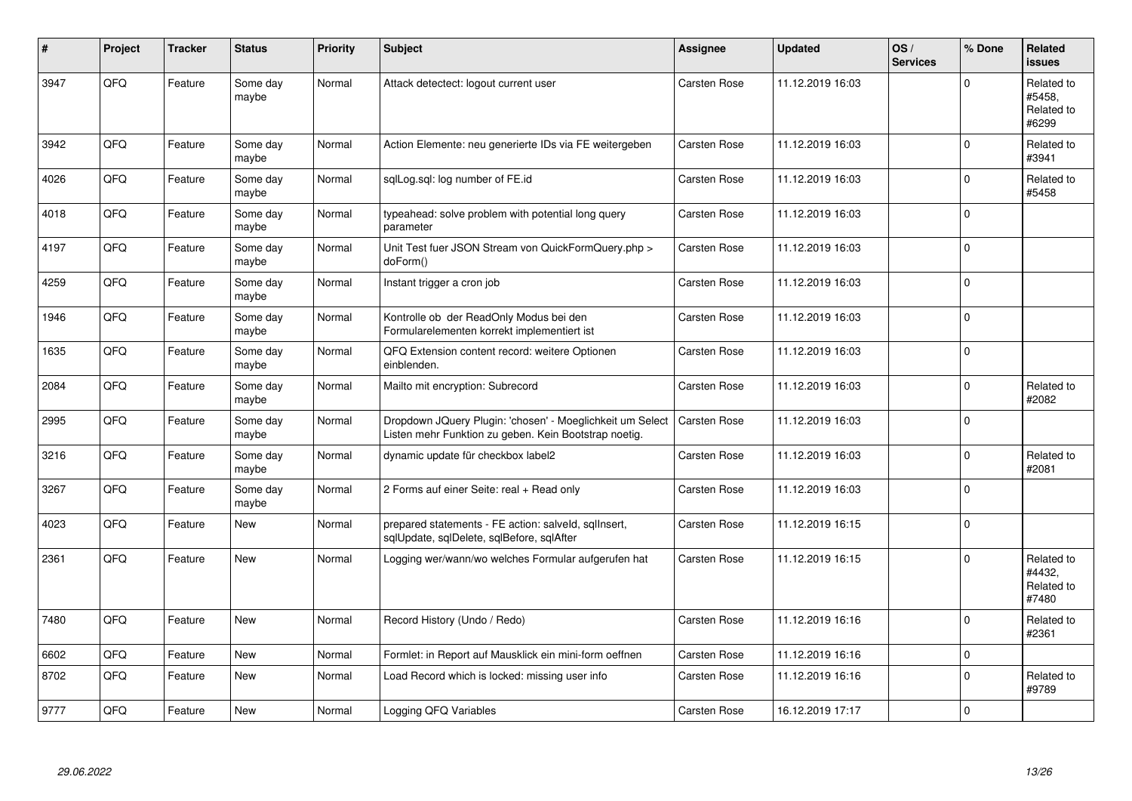| ∦    | Project | <b>Tracker</b> | <b>Status</b>     | <b>Priority</b> | <b>Subject</b>                                                                                                     | <b>Assignee</b>     | <b>Updated</b>   | OS/<br><b>Services</b> | % Done      | <b>Related</b><br><b>issues</b>             |
|------|---------|----------------|-------------------|-----------------|--------------------------------------------------------------------------------------------------------------------|---------------------|------------------|------------------------|-------------|---------------------------------------------|
| 3947 | QFQ     | Feature        | Some day<br>maybe | Normal          | Attack detectect: logout current user                                                                              | Carsten Rose        | 11.12.2019 16:03 |                        | $\mathbf 0$ | Related to<br>#5458.<br>Related to<br>#6299 |
| 3942 | QFQ     | Feature        | Some day<br>maybe | Normal          | Action Elemente: neu generierte IDs via FE weitergeben                                                             | <b>Carsten Rose</b> | 11.12.2019 16:03 |                        | $\Omega$    | Related to<br>#3941                         |
| 4026 | QFQ     | Feature        | Some day<br>maybe | Normal          | sqlLog.sql: log number of FE.id                                                                                    | Carsten Rose        | 11.12.2019 16:03 |                        | $\mathbf 0$ | Related to<br>#5458                         |
| 4018 | QFQ     | Feature        | Some day<br>maybe | Normal          | typeahead: solve problem with potential long query<br>parameter                                                    | Carsten Rose        | 11.12.2019 16:03 |                        | $\Omega$    |                                             |
| 4197 | QFQ     | Feature        | Some day<br>maybe | Normal          | Unit Test fuer JSON Stream von QuickFormQuery.php ><br>doForm()                                                    | Carsten Rose        | 11.12.2019 16:03 |                        | $\mathbf 0$ |                                             |
| 4259 | QFQ     | Feature        | Some day<br>maybe | Normal          | Instant trigger a cron job                                                                                         | Carsten Rose        | 11.12.2019 16:03 |                        | $\mathbf 0$ |                                             |
| 1946 | QFQ     | Feature        | Some day<br>maybe | Normal          | Kontrolle ob der ReadOnly Modus bei den<br>Formularelementen korrekt implementiert ist                             | Carsten Rose        | 11.12.2019 16:03 |                        | $\mathbf 0$ |                                             |
| 1635 | QFQ     | Feature        | Some day<br>maybe | Normal          | QFQ Extension content record: weitere Optionen<br>einblenden.                                                      | Carsten Rose        | 11.12.2019 16:03 |                        | $\mathbf 0$ |                                             |
| 2084 | QFQ     | Feature        | Some day<br>maybe | Normal          | Mailto mit encryption: Subrecord                                                                                   | Carsten Rose        | 11.12.2019 16:03 |                        | $\Omega$    | Related to<br>#2082                         |
| 2995 | QFQ     | Feature        | Some day<br>maybe | Normal          | Dropdown JQuery Plugin: 'chosen' - Moeglichkeit um Select<br>Listen mehr Funktion zu geben. Kein Bootstrap noetig. | Carsten Rose        | 11.12.2019 16:03 |                        | $\mathbf 0$ |                                             |
| 3216 | QFQ     | Feature        | Some day<br>maybe | Normal          | dynamic update für checkbox label2                                                                                 | Carsten Rose        | 11.12.2019 16:03 |                        | $\mathbf 0$ | Related to<br>#2081                         |
| 3267 | QFQ     | Feature        | Some day<br>maybe | Normal          | 2 Forms auf einer Seite: real + Read only                                                                          | Carsten Rose        | 11.12.2019 16:03 |                        | $\mathbf 0$ |                                             |
| 4023 | QFQ     | Feature        | New               | Normal          | prepared statements - FE action: salveld, sqllnsert,<br>sqlUpdate, sqlDelete, sqlBefore, sqlAfter                  | Carsten Rose        | 11.12.2019 16:15 |                        | $\mathbf 0$ |                                             |
| 2361 | QFQ     | Feature        | New               | Normal          | Logging wer/wann/wo welches Formular aufgerufen hat                                                                | Carsten Rose        | 11.12.2019 16:15 |                        | $\mathbf 0$ | Related to<br>#4432,<br>Related to<br>#7480 |
| 7480 | QFQ     | Feature        | New               | Normal          | Record History (Undo / Redo)                                                                                       | Carsten Rose        | 11.12.2019 16:16 |                        | $\mathbf 0$ | Related to<br>#2361                         |
| 6602 | QFQ     | Feature        | New               | Normal          | Formlet: in Report auf Mausklick ein mini-form oeffnen                                                             | Carsten Rose        | 11.12.2019 16:16 |                        | $\mathbf 0$ |                                             |
| 8702 | QFQ     | Feature        | New               | Normal          | Load Record which is locked: missing user info                                                                     | Carsten Rose        | 11.12.2019 16:16 |                        | $\mathbf 0$ | Related to<br>#9789                         |
| 9777 | QFQ     | Feature        | New               | Normal          | Logging QFQ Variables                                                                                              | Carsten Rose        | 16.12.2019 17:17 |                        | $\mathbf 0$ |                                             |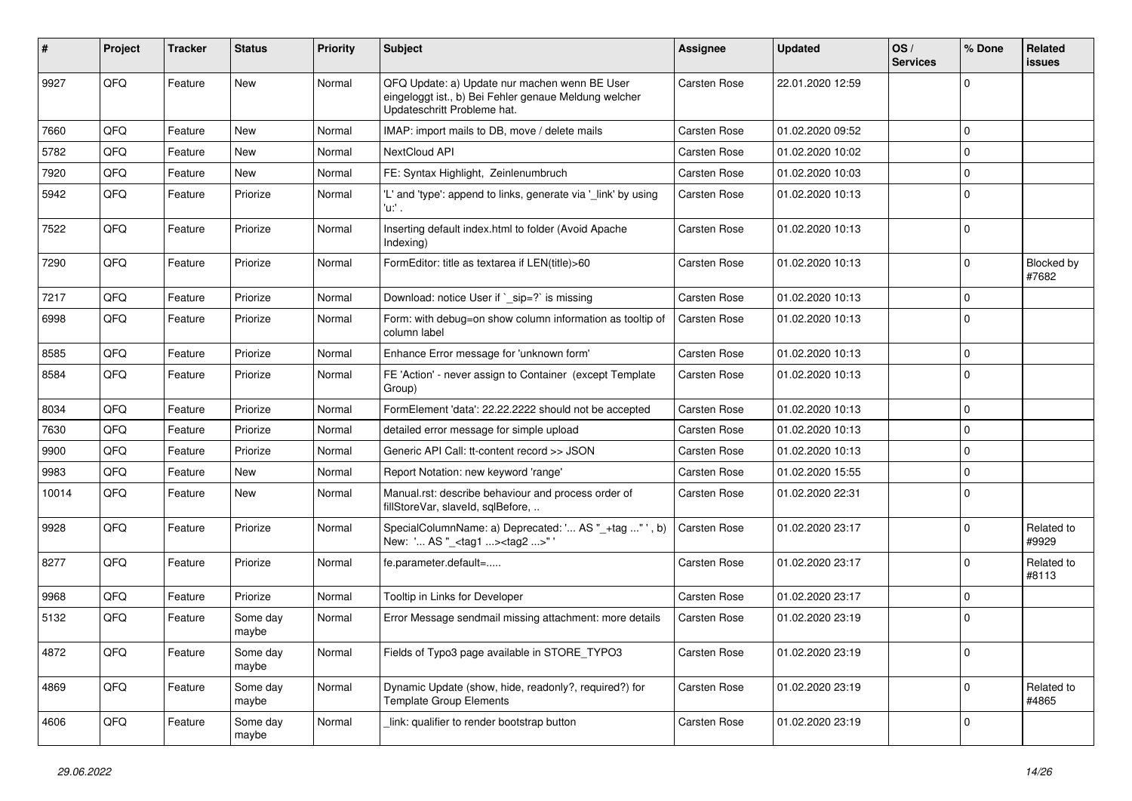| ∦     | Project | <b>Tracker</b> | <b>Status</b>     | <b>Priority</b> | Subject                                                                                                                               | <b>Assignee</b>     | <b>Updated</b>   | OS/<br><b>Services</b> | % Done         | Related<br>issues   |
|-------|---------|----------------|-------------------|-----------------|---------------------------------------------------------------------------------------------------------------------------------------|---------------------|------------------|------------------------|----------------|---------------------|
| 9927  | QFQ     | Feature        | New               | Normal          | QFQ Update: a) Update nur machen wenn BE User<br>eingeloggt ist., b) Bei Fehler genaue Meldung welcher<br>Updateschritt Probleme hat. | <b>Carsten Rose</b> | 22.01.2020 12:59 |                        | $\mathbf 0$    |                     |
| 7660  | QFQ     | Feature        | New               | Normal          | IMAP: import mails to DB, move / delete mails                                                                                         | Carsten Rose        | 01.02.2020 09:52 |                        | $\mathbf 0$    |                     |
| 5782  | QFQ     | Feature        | New               | Normal          | NextCloud API                                                                                                                         | Carsten Rose        | 01.02.2020 10:02 |                        | $\Omega$       |                     |
| 7920  | QFQ     | Feature        | New               | Normal          | FE: Syntax Highlight, Zeinlenumbruch                                                                                                  | Carsten Rose        | 01.02.2020 10:03 |                        | $\mathbf 0$    |                     |
| 5942  | QFQ     | Feature        | Priorize          | Normal          | 'L' and 'type': append to links, generate via '_link' by using<br>'u:' .                                                              | Carsten Rose        | 01.02.2020 10:13 |                        | $\mathbf 0$    |                     |
| 7522  | QFQ     | Feature        | Priorize          | Normal          | Inserting default index.html to folder (Avoid Apache<br>Indexing)                                                                     | Carsten Rose        | 01.02.2020 10:13 |                        | $\mathbf 0$    |                     |
| 7290  | QFQ     | Feature        | Priorize          | Normal          | FormEditor: title as textarea if LEN(title)>60                                                                                        | Carsten Rose        | 01.02.2020 10:13 |                        | $\mathbf 0$    | Blocked by<br>#7682 |
| 7217  | QFQ     | Feature        | Priorize          | Normal          | Download: notice User if `_sip=?` is missing                                                                                          | Carsten Rose        | 01.02.2020 10:13 |                        | $\mathbf 0$    |                     |
| 6998  | QFQ     | Feature        | Priorize          | Normal          | Form: with debug=on show column information as tooltip of<br>column label                                                             | Carsten Rose        | 01.02.2020 10:13 |                        | $\mathbf 0$    |                     |
| 8585  | QFQ     | Feature        | Priorize          | Normal          | Enhance Error message for 'unknown form'                                                                                              | Carsten Rose        | 01.02.2020 10:13 |                        | $\mathbf 0$    |                     |
| 8584  | QFQ     | Feature        | Priorize          | Normal          | FE 'Action' - never assign to Container (except Template<br>Group)                                                                    | Carsten Rose        | 01.02.2020 10:13 |                        | $\mathbf 0$    |                     |
| 8034  | QFQ     | Feature        | Priorize          | Normal          | FormElement 'data': 22.22.2222 should not be accepted                                                                                 | Carsten Rose        | 01.02.2020 10:13 |                        | $\mathbf 0$    |                     |
| 7630  | QFQ     | Feature        | Priorize          | Normal          | detailed error message for simple upload                                                                                              | Carsten Rose        | 01.02.2020 10:13 |                        | $\mathbf 0$    |                     |
| 9900  | QFQ     | Feature        | Priorize          | Normal          | Generic API Call: tt-content record >> JSON                                                                                           | Carsten Rose        | 01.02.2020 10:13 |                        | $\mathbf 0$    |                     |
| 9983  | QFQ     | Feature        | New               | Normal          | Report Notation: new keyword 'range'                                                                                                  | Carsten Rose        | 01.02.2020 15:55 |                        | $\mathbf 0$    |                     |
| 10014 | QFQ     | Feature        | New               | Normal          | Manual.rst: describe behaviour and process order of<br>fillStoreVar, slaveId, sqlBefore,                                              | Carsten Rose        | 01.02.2020 22:31 |                        | $\mathbf 0$    |                     |
| 9928  | QFQ     | Feature        | Priorize          | Normal          | SpecialColumnName: a) Deprecated: ' AS "_+tag " ', b)<br>New: ' AS "_ <tag1><tag2>"</tag2></tag1>                                     | Carsten Rose        | 01.02.2020 23:17 |                        | $\mathbf 0$    | Related to<br>#9929 |
| 8277  | QFQ     | Feature        | Priorize          | Normal          | fe.parameter.default=                                                                                                                 | Carsten Rose        | 01.02.2020 23:17 |                        | $\Omega$       | Related to<br>#8113 |
| 9968  | QFQ     | Feature        | Priorize          | Normal          | Tooltip in Links for Developer                                                                                                        | Carsten Rose        | 01.02.2020 23:17 |                        | $\mathbf 0$    |                     |
| 5132  | QFQ     | Feature        | Some day<br>maybe | Normal          | Error Message sendmail missing attachment: more details                                                                               | Carsten Rose        | 01.02.2020 23:19 |                        | $\overline{0}$ |                     |
| 4872  | QFQ     | Feature        | Some day<br>maybe | Normal          | Fields of Typo3 page available in STORE_TYPO3                                                                                         | Carsten Rose        | 01.02.2020 23:19 |                        | $\overline{0}$ |                     |
| 4869  | QFQ     | Feature        | Some day<br>maybe | Normal          | Dynamic Update (show, hide, readonly?, required?) for<br><b>Template Group Elements</b>                                               | Carsten Rose        | 01.02.2020 23:19 |                        | $\mathbf 0$    | Related to<br>#4865 |
| 4606  | QFQ     | Feature        | Some day<br>maybe | Normal          | link: qualifier to render bootstrap button                                                                                            | Carsten Rose        | 01.02.2020 23:19 |                        | $\overline{0}$ |                     |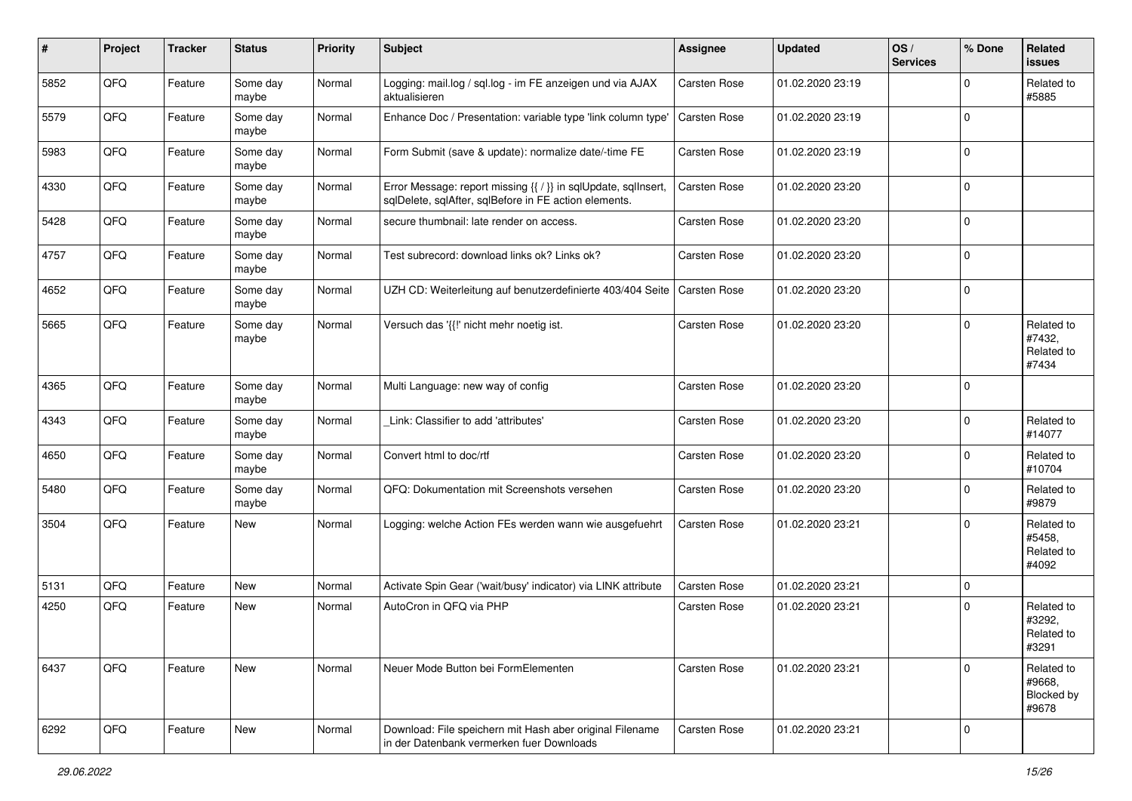| #    | Project | <b>Tracker</b> | <b>Status</b>     | <b>Priority</b> | <b>Subject</b>                                                                                                          | <b>Assignee</b> | <b>Updated</b>   | OS/<br><b>Services</b> | % Done         | Related<br>issues                           |
|------|---------|----------------|-------------------|-----------------|-------------------------------------------------------------------------------------------------------------------------|-----------------|------------------|------------------------|----------------|---------------------------------------------|
| 5852 | QFQ     | Feature        | Some day<br>maybe | Normal          | Logging: mail.log / sql.log - im FE anzeigen und via AJAX<br>aktualisieren                                              | Carsten Rose    | 01.02.2020 23:19 |                        | $\Omega$       | Related to<br>#5885                         |
| 5579 | QFQ     | Feature        | Some day<br>maybe | Normal          | Enhance Doc / Presentation: variable type 'link column type'                                                            | Carsten Rose    | 01.02.2020 23:19 |                        | $\mathbf 0$    |                                             |
| 5983 | QFQ     | Feature        | Some day<br>maybe | Normal          | Form Submit (save & update): normalize date/-time FE                                                                    | Carsten Rose    | 01.02.2020 23:19 |                        | $\Omega$       |                                             |
| 4330 | QFQ     | Feature        | Some day<br>maybe | Normal          | Error Message: report missing {{ / }} in sqlUpdate, sqlInsert,<br>sqlDelete, sqlAfter, sqlBefore in FE action elements. | Carsten Rose    | 01.02.2020 23:20 |                        | $\mathbf 0$    |                                             |
| 5428 | QFQ     | Feature        | Some day<br>maybe | Normal          | secure thumbnail: late render on access.                                                                                | Carsten Rose    | 01.02.2020 23:20 |                        | $\Omega$       |                                             |
| 4757 | QFQ     | Feature        | Some day<br>maybe | Normal          | Test subrecord: download links ok? Links ok?                                                                            | Carsten Rose    | 01.02.2020 23:20 |                        | $\mathbf 0$    |                                             |
| 4652 | QFQ     | Feature        | Some day<br>maybe | Normal          | UZH CD: Weiterleitung auf benutzerdefinierte 403/404 Seite                                                              | Carsten Rose    | 01.02.2020 23:20 |                        | $\mathbf 0$    |                                             |
| 5665 | QFQ     | Feature        | Some day<br>maybe | Normal          | Versuch das '{{!' nicht mehr noetig ist.                                                                                | Carsten Rose    | 01.02.2020 23:20 |                        | $\mathbf 0$    | Related to<br>#7432,<br>Related to<br>#7434 |
| 4365 | QFQ     | Feature        | Some day<br>maybe | Normal          | Multi Language: new way of config                                                                                       | Carsten Rose    | 01.02.2020 23:20 |                        | $\Omega$       |                                             |
| 4343 | QFQ     | Feature        | Some day<br>maybe | Normal          | Link: Classifier to add 'attributes'                                                                                    | Carsten Rose    | 01.02.2020 23:20 |                        | $\mathbf 0$    | Related to<br>#14077                        |
| 4650 | QFQ     | Feature        | Some day<br>maybe | Normal          | Convert html to doc/rtf                                                                                                 | Carsten Rose    | 01.02.2020 23:20 |                        | $\overline{0}$ | Related to<br>#10704                        |
| 5480 | QFQ     | Feature        | Some day<br>maybe | Normal          | QFQ: Dokumentation mit Screenshots versehen                                                                             | Carsten Rose    | 01.02.2020 23:20 |                        | $\Omega$       | Related to<br>#9879                         |
| 3504 | QFQ     | Feature        | New               | Normal          | Logging: welche Action FEs werden wann wie ausgefuehrt                                                                  | Carsten Rose    | 01.02.2020 23:21 |                        | $\mathbf 0$    | Related to<br>#5458,<br>Related to<br>#4092 |
| 5131 | QFQ     | Feature        | New               | Normal          | Activate Spin Gear ('wait/busy' indicator) via LINK attribute                                                           | Carsten Rose    | 01.02.2020 23:21 |                        | $\mathbf 0$    |                                             |
| 4250 | QFQ     | Feature        | New               | Normal          | AutoCron in QFQ via PHP                                                                                                 | Carsten Rose    | 01.02.2020 23:21 |                        | $\Omega$       | Related to<br>#3292,<br>Related to<br>#3291 |
| 6437 | QFQ     | Feature        | New               | Normal          | Neuer Mode Button bei FormElementen                                                                                     | Carsten Rose    | 01.02.2020 23:21 |                        | $\Omega$       | Related to<br>#9668,<br>Blocked by<br>#9678 |
| 6292 | QFQ     | Feature        | New               | Normal          | Download: File speichern mit Hash aber original Filename<br>in der Datenbank vermerken fuer Downloads                   | Carsten Rose    | 01.02.2020 23:21 |                        | $\overline{0}$ |                                             |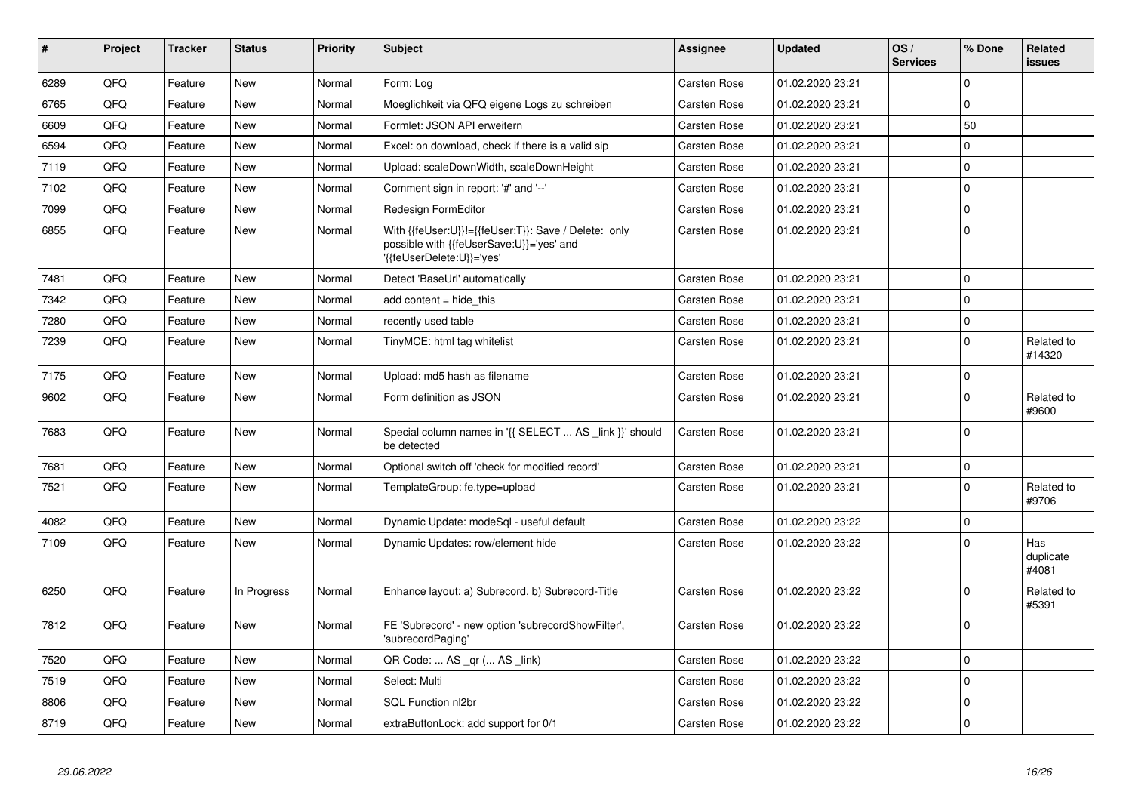| $\vert$ # | <b>Project</b> | <b>Tracker</b> | <b>Status</b> | <b>Priority</b> | <b>Subject</b>                                                                                                               | Assignee            | <b>Updated</b>   | OS/<br><b>Services</b> | % Done       | Related<br>issues         |
|-----------|----------------|----------------|---------------|-----------------|------------------------------------------------------------------------------------------------------------------------------|---------------------|------------------|------------------------|--------------|---------------------------|
| 6289      | QFQ            | Feature        | <b>New</b>    | Normal          | Form: Log                                                                                                                    | Carsten Rose        | 01.02.2020 23:21 |                        | $\Omega$     |                           |
| 6765      | QFQ            | Feature        | New           | Normal          | Moeglichkeit via QFQ eigene Logs zu schreiben                                                                                | Carsten Rose        | 01.02.2020 23:21 |                        | $\Omega$     |                           |
| 6609      | QFQ            | Feature        | New           | Normal          | Formlet: JSON API erweitern                                                                                                  | <b>Carsten Rose</b> | 01.02.2020 23:21 |                        | 50           |                           |
| 6594      | QFQ            | Feature        | <b>New</b>    | Normal          | Excel: on download, check if there is a valid sip                                                                            | Carsten Rose        | 01.02.2020 23:21 |                        | $\mathbf{0}$ |                           |
| 7119      | QFQ            | Feature        | New           | Normal          | Upload: scaleDownWidth, scaleDownHeight                                                                                      | Carsten Rose        | 01.02.2020 23:21 |                        | $\mathbf 0$  |                           |
| 7102      | QFQ            | Feature        | <b>New</b>    | Normal          | Comment sign in report: '#' and '--'                                                                                         | Carsten Rose        | 01.02.2020 23:21 |                        | $\mathbf{0}$ |                           |
| 7099      | QFQ            | Feature        | <b>New</b>    | Normal          | Redesign FormEditor                                                                                                          | Carsten Rose        | 01.02.2020 23:21 |                        | $\Omega$     |                           |
| 6855      | QFQ            | Feature        | New           | Normal          | With {{feUser:U}}!={{feUser:T}}: Save / Delete: only<br>possible with {{feUserSave:U}}='yes' and<br>{{feUserDelete:U}}='yes' | Carsten Rose        | 01.02.2020 23:21 |                        | $\mathbf 0$  |                           |
| 7481      | QFQ            | Feature        | <b>New</b>    | Normal          | Detect 'BaseUrl' automatically                                                                                               | <b>Carsten Rose</b> | 01.02.2020 23:21 |                        | $\Omega$     |                           |
| 7342      | QFQ            | Feature        | New           | Normal          | add content $=$ hide this                                                                                                    | Carsten Rose        | 01.02.2020 23:21 |                        | $\Omega$     |                           |
| 7280      | QFQ            | Feature        | <b>New</b>    | Normal          | recently used table                                                                                                          | Carsten Rose        | 01.02.2020 23:21 |                        | $\mathbf 0$  |                           |
| 7239      | QFQ            | Feature        | <b>New</b>    | Normal          | TinyMCE: html tag whitelist                                                                                                  | Carsten Rose        | 01.02.2020 23:21 |                        | $\mathbf{0}$ | Related to<br>#14320      |
| 7175      | QFQ            | Feature        | <b>New</b>    | Normal          | Upload: md5 hash as filename                                                                                                 | Carsten Rose        | 01.02.2020 23:21 |                        | $\mathbf 0$  |                           |
| 9602      | QFQ            | Feature        | New           | Normal          | Form definition as JSON                                                                                                      | Carsten Rose        | 01.02.2020 23:21 |                        | $\Omega$     | Related to<br>#9600       |
| 7683      | QFQ            | Feature        | New           | Normal          | Special column names in '{{ SELECT  AS link }}' should<br>be detected                                                        | Carsten Rose        | 01.02.2020 23:21 |                        | $\Omega$     |                           |
| 7681      | QFQ            | Feature        | <b>New</b>    | Normal          | Optional switch off 'check for modified record'                                                                              | Carsten Rose        | 01.02.2020 23:21 |                        | $\Omega$     |                           |
| 7521      | QFQ            | Feature        | New           | Normal          | TemplateGroup: fe.type=upload                                                                                                | Carsten Rose        | 01.02.2020 23:21 |                        | $\Omega$     | Related to<br>#9706       |
| 4082      | QFQ            | Feature        | <b>New</b>    | Normal          | Dynamic Update: modeSql - useful default                                                                                     | <b>Carsten Rose</b> | 01.02.2020 23:22 |                        | $\Omega$     |                           |
| 7109      | QFQ            | Feature        | <b>New</b>    | Normal          | Dynamic Updates: row/element hide                                                                                            | Carsten Rose        | 01.02.2020 23:22 |                        | $\Omega$     | Has<br>duplicate<br>#4081 |
| 6250      | QFQ            | Feature        | In Progress   | Normal          | Enhance layout: a) Subrecord, b) Subrecord-Title                                                                             | Carsten Rose        | 01.02.2020 23:22 |                        | $\Omega$     | Related to<br>#5391       |
| 7812      | QFQ            | Feature        | New           | Normal          | FE 'Subrecord' - new option 'subrecordShowFilter',<br>'subrecordPaging'                                                      | Carsten Rose        | 01.02.2020 23:22 |                        | $\Omega$     |                           |
| 7520      | QFQ            | Feature        | New           | Normal          | QR Code:  AS _qr ( AS _link)                                                                                                 | Carsten Rose        | 01.02.2020 23:22 |                        | $\Omega$     |                           |
| 7519      | QFQ            | Feature        | New           | Normal          | Select: Multi                                                                                                                | Carsten Rose        | 01.02.2020 23:22 |                        | $\Omega$     |                           |
| 8806      | QFQ            | Feature        | New           | Normal          | SQL Function nl2br                                                                                                           | Carsten Rose        | 01.02.2020 23:22 |                        | $\Omega$     |                           |
| 8719      | QFQ            | Feature        | New           | Normal          | extraButtonLock: add support for 0/1                                                                                         | <b>Carsten Rose</b> | 01.02.2020 23:22 |                        | $\mathbf 0$  |                           |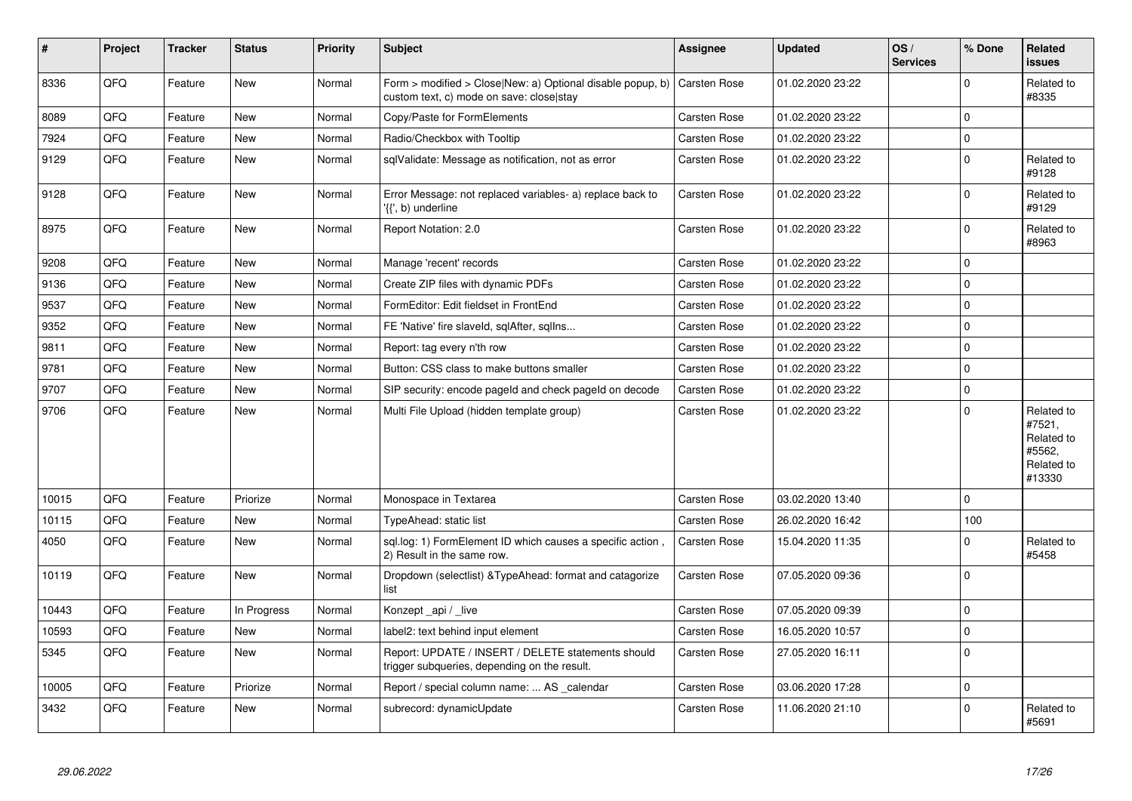| #     | Project | <b>Tracker</b> | <b>Status</b> | <b>Priority</b> | <b>Subject</b>                                                                                         | <b>Assignee</b>     | <b>Updated</b>   | OS/<br><b>Services</b> | % Done              | Related<br><b>issues</b>                                             |
|-------|---------|----------------|---------------|-----------------|--------------------------------------------------------------------------------------------------------|---------------------|------------------|------------------------|---------------------|----------------------------------------------------------------------|
| 8336  | QFQ     | Feature        | <b>New</b>    | Normal          | Form > modified > Close New: a) Optional disable popup, b)<br>custom text, c) mode on save: close stay | Carsten Rose        | 01.02.2020 23:22 |                        | $\mathbf 0$         | Related to<br>#8335                                                  |
| 8089  | QFQ     | Feature        | New           | Normal          | Copy/Paste for FormElements                                                                            | Carsten Rose        | 01.02.2020 23:22 |                        | $\mathbf 0$         |                                                                      |
| 7924  | QFQ     | Feature        | New           | Normal          | Radio/Checkbox with Tooltip                                                                            | Carsten Rose        | 01.02.2020 23:22 |                        | $\mathbf 0$         |                                                                      |
| 9129  | QFQ     | Feature        | New           | Normal          | sqlValidate: Message as notification, not as error                                                     | Carsten Rose        | 01.02.2020 23:22 |                        | $\pmb{0}$           | Related to<br>#9128                                                  |
| 9128  | QFQ     | Feature        | New           | Normal          | Error Message: not replaced variables- a) replace back to<br>'{{', b) underline                        | Carsten Rose        | 01.02.2020 23:22 |                        | $\Omega$            | Related to<br>#9129                                                  |
| 8975  | QFQ     | Feature        | <b>New</b>    | Normal          | Report Notation: 2.0                                                                                   | Carsten Rose        | 01.02.2020 23:22 |                        | $\mathbf 0$         | Related to<br>#8963                                                  |
| 9208  | QFQ     | Feature        | <b>New</b>    | Normal          | Manage 'recent' records                                                                                | Carsten Rose        | 01.02.2020 23:22 |                        | $\mathbf 0$         |                                                                      |
| 9136  | QFQ     | Feature        | New           | Normal          | Create ZIP files with dynamic PDFs                                                                     | <b>Carsten Rose</b> | 01.02.2020 23:22 |                        | $\mathbf 0$         |                                                                      |
| 9537  | QFQ     | Feature        | New           | Normal          | FormEditor: Edit fieldset in FrontEnd                                                                  | Carsten Rose        | 01.02.2020 23:22 |                        | $\mathbf 0$         |                                                                      |
| 9352  | QFQ     | Feature        | New           | Normal          | FE 'Native' fire slaveld, sqlAfter, sqllns                                                             | Carsten Rose        | 01.02.2020 23:22 |                        | $\mathbf 0$         |                                                                      |
| 9811  | QFQ     | Feature        | New           | Normal          | Report: tag every n'th row                                                                             | Carsten Rose        | 01.02.2020 23:22 |                        | $\mathbf 0$         |                                                                      |
| 9781  | QFQ     | Feature        | New           | Normal          | Button: CSS class to make buttons smaller                                                              | Carsten Rose        | 01.02.2020 23:22 |                        | $\mathbf 0$         |                                                                      |
| 9707  | QFQ     | Feature        | New           | Normal          | SIP security: encode pageld and check pageld on decode                                                 | <b>Carsten Rose</b> | 01.02.2020 23:22 |                        | $\mathbf 0$         |                                                                      |
| 9706  | QFQ     | Feature        | New           | Normal          | Multi File Upload (hidden template group)                                                              | Carsten Rose        | 01.02.2020 23:22 |                        | $\Omega$            | Related to<br>#7521,<br>Related to<br>#5562.<br>Related to<br>#13330 |
| 10015 | QFQ     | Feature        | Priorize      | Normal          | Monospace in Textarea                                                                                  | <b>Carsten Rose</b> | 03.02.2020 13:40 |                        | $\Omega$            |                                                                      |
| 10115 | QFQ     | Feature        | New           | Normal          | TypeAhead: static list                                                                                 | Carsten Rose        | 26.02.2020 16:42 |                        | 100                 |                                                                      |
| 4050  | QFQ     | Feature        | <b>New</b>    | Normal          | sql.log: 1) FormElement ID which causes a specific action.<br>2) Result in the same row.               | <b>Carsten Rose</b> | 15.04.2020 11:35 |                        | $\mathbf 0$         | Related to<br>#5458                                                  |
| 10119 | QFQ     | Feature        | <b>New</b>    | Normal          | Dropdown (selectlist) & TypeAhead: format and catagorize<br>list                                       | Carsten Rose        | 07.05.2020 09:36 |                        | $\Omega$            |                                                                      |
| 10443 | QFQ     | Feature        | In Progress   | Normal          | Konzept api / live                                                                                     | Carsten Rose        | 07.05.2020 09:39 |                        | $\mathbf 0$         |                                                                      |
| 10593 | QFQ     | Feature        | New           | Normal          | label2: text behind input element                                                                      | Carsten Rose        | 16.05.2020 10:57 |                        | $\mathsf{O}\xspace$ |                                                                      |
| 5345  | QFQ     | Feature        | New           | Normal          | Report: UPDATE / INSERT / DELETE statements should<br>trigger subqueries, depending on the result.     | Carsten Rose        | 27.05.2020 16:11 |                        | $\mathbf 0$         |                                                                      |
| 10005 | QFQ     | Feature        | Priorize      | Normal          | Report / special column name:  AS calendar                                                             | Carsten Rose        | 03.06.2020 17:28 |                        | $\mathbf 0$         |                                                                      |
| 3432  | QFQ     | Feature        | <b>New</b>    | Normal          | subrecord: dynamicUpdate                                                                               | Carsten Rose        | 11.06.2020 21:10 |                        | $\Omega$            | Related to<br>#5691                                                  |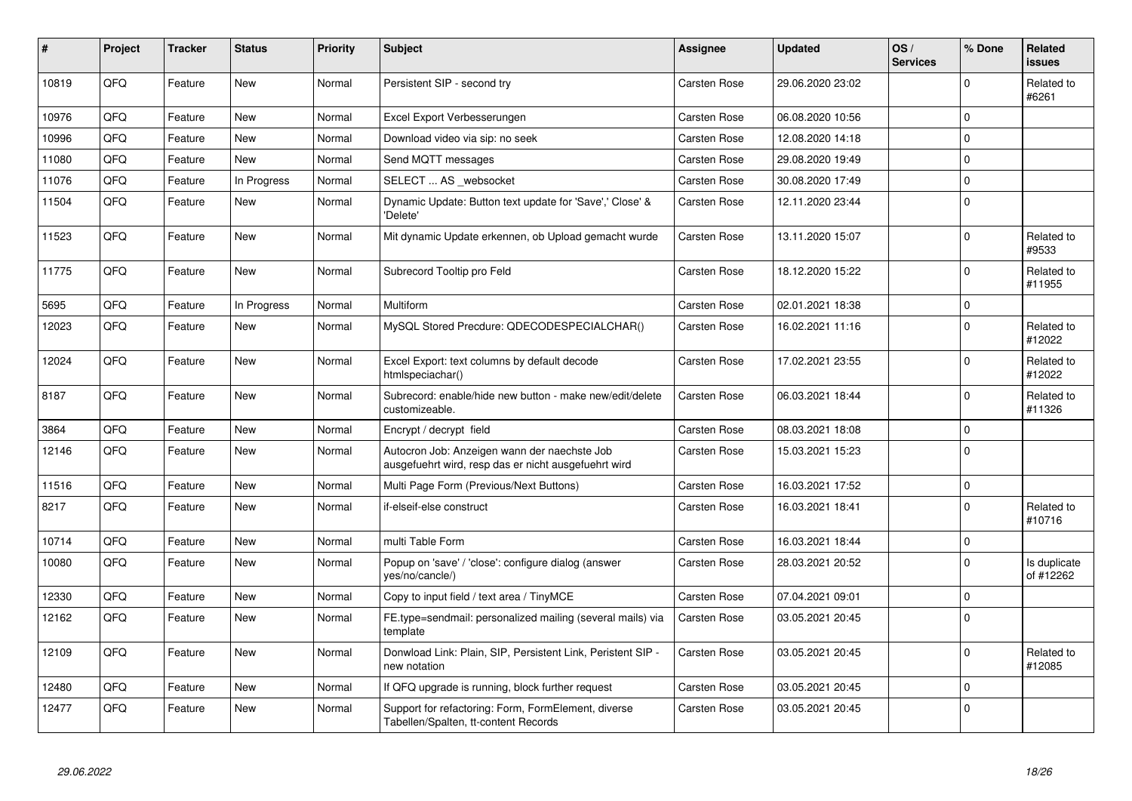| #     | Project | <b>Tracker</b> | <b>Status</b> | <b>Priority</b> | <b>Subject</b>                                                                                       | <b>Assignee</b>     | <b>Updated</b>   | OS/<br><b>Services</b> | % Done              | Related<br><b>issues</b>  |
|-------|---------|----------------|---------------|-----------------|------------------------------------------------------------------------------------------------------|---------------------|------------------|------------------------|---------------------|---------------------------|
| 10819 | QFQ     | Feature        | New           | Normal          | Persistent SIP - second try                                                                          | Carsten Rose        | 29.06.2020 23:02 |                        | $\mathbf 0$         | Related to<br>#6261       |
| 10976 | QFQ     | Feature        | New           | Normal          | Excel Export Verbesserungen                                                                          | Carsten Rose        | 06.08.2020 10:56 |                        | $\mathbf 0$         |                           |
| 10996 | QFQ     | Feature        | New           | Normal          | Download video via sip: no seek                                                                      | Carsten Rose        | 12.08.2020 14:18 |                        | $\Omega$            |                           |
| 11080 | QFQ     | Feature        | New           | Normal          | Send MQTT messages                                                                                   | Carsten Rose        | 29.08.2020 19:49 |                        | $\mathbf 0$         |                           |
| 11076 | QFQ     | Feature        | In Progress   | Normal          | SELECT  AS _websocket                                                                                | Carsten Rose        | 30.08.2020 17:49 |                        | $\mathsf{O}\xspace$ |                           |
| 11504 | QFQ     | Feature        | New           | Normal          | Dynamic Update: Button text update for 'Save',' Close' &<br>'Delete'                                 | <b>Carsten Rose</b> | 12.11.2020 23:44 |                        | $\mathbf 0$         |                           |
| 11523 | QFQ     | Feature        | New           | Normal          | Mit dynamic Update erkennen, ob Upload gemacht wurde                                                 | Carsten Rose        | 13.11.2020 15:07 |                        | $\Omega$            | Related to<br>#9533       |
| 11775 | QFQ     | Feature        | New           | Normal          | Subrecord Tooltip pro Feld                                                                           | Carsten Rose        | 18.12.2020 15:22 |                        | $\Omega$            | Related to<br>#11955      |
| 5695  | QFQ     | Feature        | In Progress   | Normal          | <b>Multiform</b>                                                                                     | Carsten Rose        | 02.01.2021 18:38 |                        | $\mathbf 0$         |                           |
| 12023 | QFQ     | Feature        | New           | Normal          | MySQL Stored Precdure: QDECODESPECIALCHAR()                                                          | Carsten Rose        | 16.02.2021 11:16 |                        | $\mathbf 0$         | Related to<br>#12022      |
| 12024 | QFQ     | Feature        | New           | Normal          | Excel Export: text columns by default decode<br>htmlspeciachar()                                     | Carsten Rose        | 17.02.2021 23:55 |                        | $\mathbf 0$         | Related to<br>#12022      |
| 8187  | QFQ     | Feature        | New           | Normal          | Subrecord: enable/hide new button - make new/edit/delete<br>customizeable.                           | Carsten Rose        | 06.03.2021 18:44 |                        | $\mathbf 0$         | Related to<br>#11326      |
| 3864  | QFQ     | Feature        | New           | Normal          | Encrypt / decrypt field                                                                              | Carsten Rose        | 08.03.2021 18:08 |                        | $\mathbf 0$         |                           |
| 12146 | QFQ     | Feature        | New           | Normal          | Autocron Job: Anzeigen wann der naechste Job<br>ausgefuehrt wird, resp das er nicht ausgefuehrt wird | Carsten Rose        | 15.03.2021 15:23 |                        | $\Omega$            |                           |
| 11516 | QFQ     | Feature        | New           | Normal          | Multi Page Form (Previous/Next Buttons)                                                              | Carsten Rose        | 16.03.2021 17:52 |                        | $\pmb{0}$           |                           |
| 8217  | QFQ     | Feature        | New           | Normal          | if-elseif-else construct                                                                             | Carsten Rose        | 16.03.2021 18:41 |                        | $\mathbf 0$         | Related to<br>#10716      |
| 10714 | QFQ     | Feature        | New           | Normal          | multi Table Form                                                                                     | Carsten Rose        | 16.03.2021 18:44 |                        | $\mathbf 0$         |                           |
| 10080 | QFQ     | Feature        | New           | Normal          | Popup on 'save' / 'close': configure dialog (answer<br>yes/no/cancle/)                               | Carsten Rose        | 28.03.2021 20:52 |                        | $\mathbf 0$         | Is duplicate<br>of #12262 |
| 12330 | QFQ     | Feature        | New           | Normal          | Copy to input field / text area / TinyMCE                                                            | Carsten Rose        | 07.04.2021 09:01 |                        | $\pmb{0}$           |                           |
| 12162 | QFQ     | Feature        | New           | Normal          | FE.type=sendmail: personalized mailing (several mails) via<br>template                               | Carsten Rose        | 03.05.2021 20:45 |                        | $\mathbf 0$         |                           |
| 12109 | QFQ     | Feature        | <b>New</b>    | Normal          | Donwload Link: Plain, SIP, Persistent Link, Peristent SIP -<br>new notation                          | Carsten Rose        | 03.05.2021 20:45 |                        | $\Omega$            | Related to<br>#12085      |
| 12480 | QFQ     | Feature        | <b>New</b>    | Normal          | If QFQ upgrade is running, block further request                                                     | Carsten Rose        | 03.05.2021 20:45 |                        | $\mathbf 0$         |                           |
| 12477 | QFQ     | Feature        | New           | Normal          | Support for refactoring: Form, FormElement, diverse<br>Tabellen/Spalten, tt-content Records          | <b>Carsten Rose</b> | 03.05.2021 20:45 |                        | $\mathbf 0$         |                           |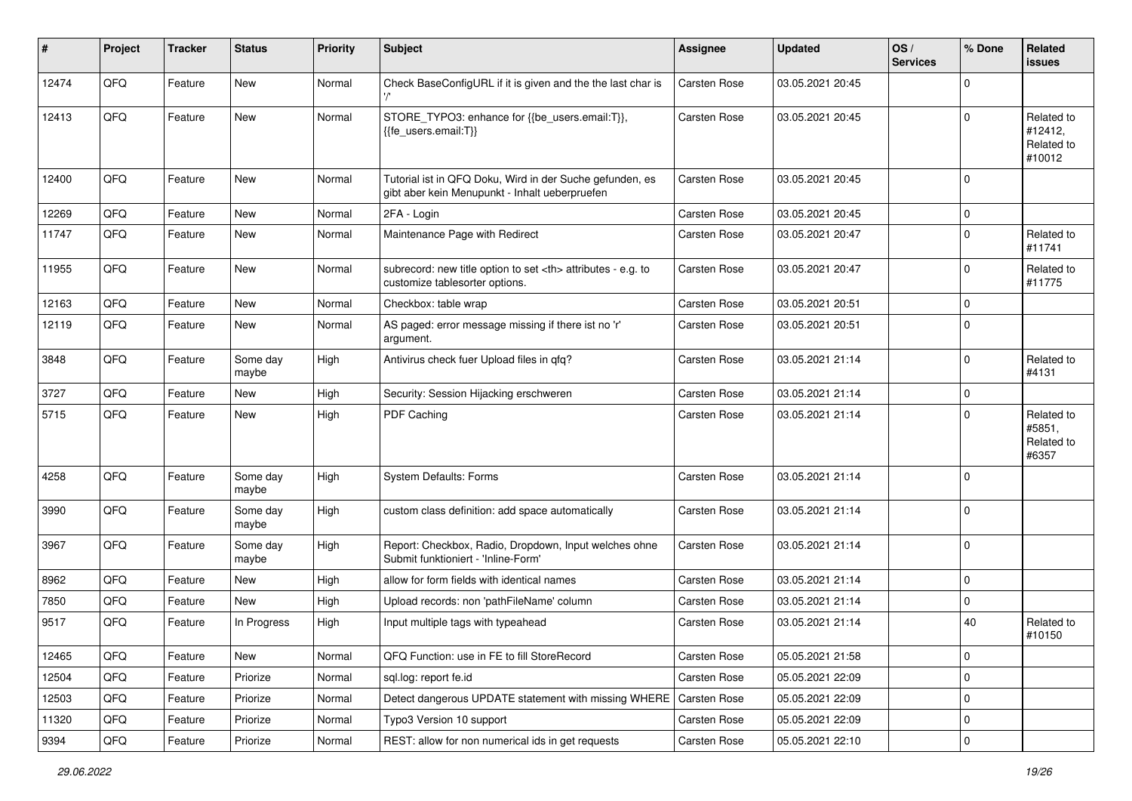| #     | Project | <b>Tracker</b> | <b>Status</b>     | <b>Priority</b> | <b>Subject</b>                                                                                             | Assignee                                               | <b>Updated</b>   | OS/<br><b>Services</b> | % Done      | Related<br>issues                             |                      |
|-------|---------|----------------|-------------------|-----------------|------------------------------------------------------------------------------------------------------------|--------------------------------------------------------|------------------|------------------------|-------------|-----------------------------------------------|----------------------|
| 12474 | QFQ     | Feature        | <b>New</b>        | Normal          | Check BaseConfigURL if it is given and the the last char is                                                | Carsten Rose                                           | 03.05.2021 20:45 |                        | $\Omega$    |                                               |                      |
| 12413 | QFQ     | Feature        | New               | Normal          | STORE_TYPO3: enhance for {{be_users.email:T}},<br>{{fe users.email:T}}                                     | Carsten Rose                                           | 03.05.2021 20:45 |                        | $\mathbf 0$ | Related to<br>#12412,<br>Related to<br>#10012 |                      |
| 12400 | QFQ     | Feature        | <b>New</b>        | Normal          | Tutorial ist in QFQ Doku, Wird in der Suche gefunden, es<br>gibt aber kein Menupunkt - Inhalt ueberpruefen | Carsten Rose                                           | 03.05.2021 20:45 |                        | $\mathbf 0$ |                                               |                      |
| 12269 | QFQ     | Feature        | New               | Normal          | 2FA - Login                                                                                                | Carsten Rose                                           | 03.05.2021 20:45 |                        | $\mathbf 0$ |                                               |                      |
| 11747 | QFQ     | Feature        | New               | Normal          | Maintenance Page with Redirect                                                                             | Carsten Rose                                           | 03.05.2021 20:47 |                        | $\mathbf 0$ | Related to<br>#11741                          |                      |
| 11955 | QFQ     | Feature        | New               | Normal          | subrecord: new title option to set <th> attributes - e.g. to<br/>customize tablesorter options.</th>       | attributes - e.g. to<br>customize tablesorter options. | Carsten Rose     | 03.05.2021 20:47       |             | $\Omega$                                      | Related to<br>#11775 |
| 12163 | QFQ     | Feature        | New               | Normal          | Checkbox: table wrap                                                                                       | Carsten Rose                                           | 03.05.2021 20:51 |                        | $\mathbf 0$ |                                               |                      |
| 12119 | QFQ     | Feature        | New               | Normal          | AS paged: error message missing if there ist no 'r'<br>argument.                                           | Carsten Rose                                           | 03.05.2021 20:51 |                        | $\Omega$    |                                               |                      |
| 3848  | QFQ     | Feature        | Some day<br>maybe | High            | Antivirus check fuer Upload files in qfq?                                                                  | Carsten Rose                                           | 03.05.2021 21:14 |                        | $\Omega$    | Related to<br>#4131                           |                      |
| 3727  | QFQ     | Feature        | New               | High            | Security: Session Hijacking erschweren                                                                     | Carsten Rose                                           | 03.05.2021 21:14 |                        | $\mathbf 0$ |                                               |                      |
| 5715  | QFQ     | Feature        | New               | High            | PDF Caching                                                                                                | Carsten Rose                                           | 03.05.2021 21:14 |                        | $\Omega$    | Related to<br>#5851,<br>Related to<br>#6357   |                      |
| 4258  | QFQ     | Feature        | Some day<br>maybe | High            | <b>System Defaults: Forms</b>                                                                              | Carsten Rose                                           | 03.05.2021 21:14 |                        | $\Omega$    |                                               |                      |
| 3990  | QFQ     | Feature        | Some day<br>maybe | High            | custom class definition: add space automatically                                                           | Carsten Rose                                           | 03.05.2021 21:14 |                        | $\mathbf 0$ |                                               |                      |
| 3967  | QFQ     | Feature        | Some day<br>maybe | High            | Report: Checkbox, Radio, Dropdown, Input welches ohne<br>Submit funktioniert - 'Inline-Form'               | Carsten Rose                                           | 03.05.2021 21:14 |                        | $\mathbf 0$ |                                               |                      |
| 8962  | QFQ     | Feature        | New               | High            | allow for form fields with identical names                                                                 | Carsten Rose                                           | 03.05.2021 21:14 |                        | $\Omega$    |                                               |                      |
| 7850  | QFQ     | Feature        | New               | High            | Upload records: non 'pathFileName' column                                                                  | Carsten Rose                                           | 03.05.2021 21:14 |                        | $\mathbf 0$ |                                               |                      |
| 9517  | QFQ     | Feature        | In Progress       | High            | Input multiple tags with typeahead                                                                         | Carsten Rose                                           | 03.05.2021 21:14 |                        | 40          | Related to<br>#10150                          |                      |
| 12465 | QFQ     | Feature        | New               | Normal          | QFQ Function: use in FE to fill StoreRecord                                                                | Carsten Rose                                           | 05.05.2021 21:58 |                        | $\mathbf 0$ |                                               |                      |
| 12504 | QFQ     | Feature        | Priorize          | Normal          | sql.log: report fe.id                                                                                      | Carsten Rose                                           | 05.05.2021 22:09 |                        | 0           |                                               |                      |
| 12503 | QFQ     | Feature        | Priorize          | Normal          | Detect dangerous UPDATE statement with missing WHERE   Carsten Rose                                        |                                                        | 05.05.2021 22:09 |                        | 0           |                                               |                      |
| 11320 | QFQ     | Feature        | Priorize          | Normal          | Typo3 Version 10 support                                                                                   | Carsten Rose                                           | 05.05.2021 22:09 |                        | $\mathbf 0$ |                                               |                      |
| 9394  | QFQ     | Feature        | Priorize          | Normal          | REST: allow for non numerical ids in get requests                                                          | Carsten Rose                                           | 05.05.2021 22:10 |                        | $\pmb{0}$   |                                               |                      |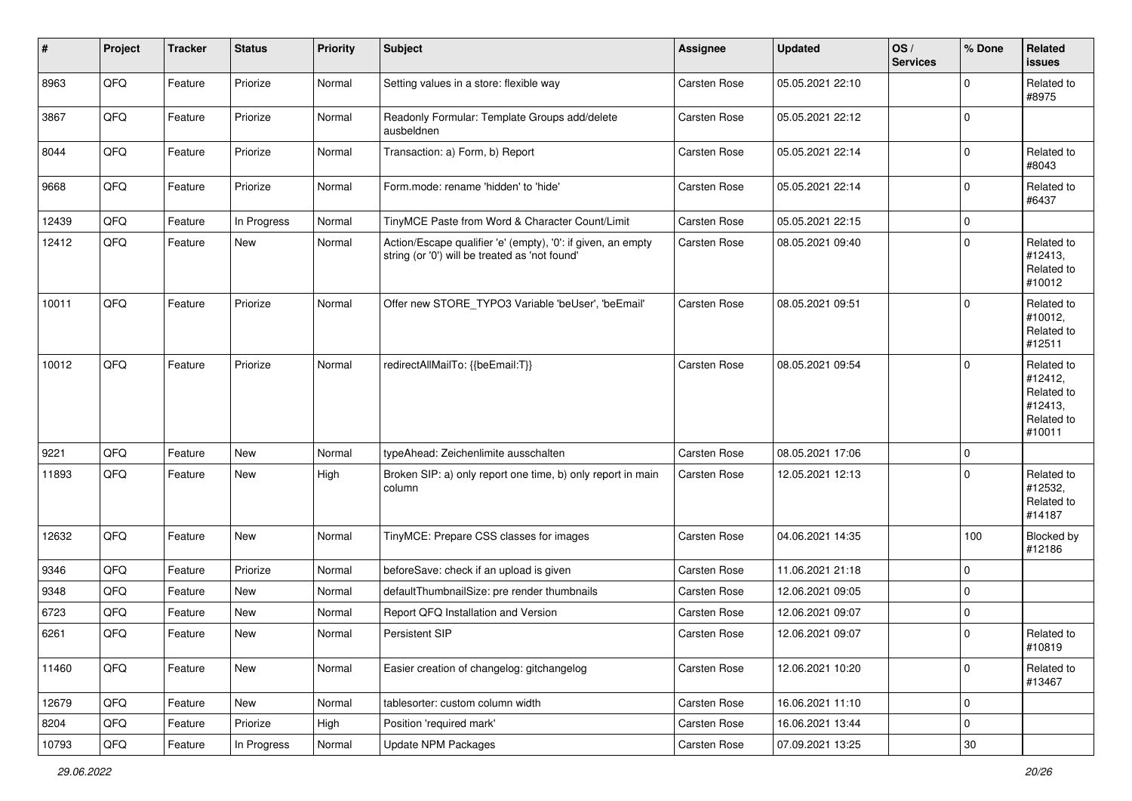| #     | Project | <b>Tracker</b> | <b>Status</b> | <b>Priority</b> | <b>Subject</b>                                                                                                 | <b>Assignee</b>     | <b>Updated</b>   | OS/<br><b>Services</b> | % Done      | Related<br><b>issues</b>                                               |
|-------|---------|----------------|---------------|-----------------|----------------------------------------------------------------------------------------------------------------|---------------------|------------------|------------------------|-------------|------------------------------------------------------------------------|
| 8963  | QFQ     | Feature        | Priorize      | Normal          | Setting values in a store: flexible way                                                                        | Carsten Rose        | 05.05.2021 22:10 |                        | $\mathbf 0$ | Related to<br>#8975                                                    |
| 3867  | QFQ     | Feature        | Priorize      | Normal          | Readonly Formular: Template Groups add/delete<br>ausbeldnen                                                    | Carsten Rose        | 05.05.2021 22:12 |                        | $\mathbf 0$ |                                                                        |
| 8044  | QFQ     | Feature        | Priorize      | Normal          | Transaction: a) Form, b) Report                                                                                | Carsten Rose        | 05.05.2021 22:14 |                        | $\mathbf 0$ | Related to<br>#8043                                                    |
| 9668  | QFQ     | Feature        | Priorize      | Normal          | Form.mode: rename 'hidden' to 'hide'                                                                           | Carsten Rose        | 05.05.2021 22:14 |                        | $\mathbf 0$ | Related to<br>#6437                                                    |
| 12439 | QFQ     | Feature        | In Progress   | Normal          | TinyMCE Paste from Word & Character Count/Limit                                                                | Carsten Rose        | 05.05.2021 22:15 |                        | $\mathbf 0$ |                                                                        |
| 12412 | QFQ     | Feature        | New           | Normal          | Action/Escape qualifier 'e' (empty), '0': if given, an empty<br>string (or '0') will be treated as 'not found' | Carsten Rose        | 08.05.2021 09:40 |                        | $\mathbf 0$ | Related to<br>#12413,<br>Related to<br>#10012                          |
| 10011 | QFQ     | Feature        | Priorize      | Normal          | Offer new STORE_TYPO3 Variable 'beUser', 'beEmail'                                                             | Carsten Rose        | 08.05.2021 09:51 |                        | $\mathbf 0$ | Related to<br>#10012,<br>Related to<br>#12511                          |
| 10012 | QFQ     | Feature        | Priorize      | Normal          | redirectAllMailTo: {{beEmail:T}}                                                                               | <b>Carsten Rose</b> | 08.05.2021 09:54 |                        | $\mathbf 0$ | Related to<br>#12412,<br>Related to<br>#12413,<br>Related to<br>#10011 |
| 9221  | QFQ     | Feature        | New           | Normal          | typeAhead: Zeichenlimite ausschalten                                                                           | Carsten Rose        | 08.05.2021 17:06 |                        | $\pmb{0}$   |                                                                        |
| 11893 | QFQ     | Feature        | New           | High            | Broken SIP: a) only report one time, b) only report in main<br>column                                          | Carsten Rose        | 12.05.2021 12:13 |                        | $\Omega$    | Related to<br>#12532,<br>Related to<br>#14187                          |
| 12632 | QFQ     | Feature        | New           | Normal          | TinyMCE: Prepare CSS classes for images                                                                        | Carsten Rose        | 04.06.2021 14:35 |                        | 100         | Blocked by<br>#12186                                                   |
| 9346  | QFQ     | Feature        | Priorize      | Normal          | beforeSave: check if an upload is given                                                                        | Carsten Rose        | 11.06.2021 21:18 |                        | $\mathbf 0$ |                                                                        |
| 9348  | QFQ     | Feature        | New           | Normal          | defaultThumbnailSize: pre render thumbnails                                                                    | <b>Carsten Rose</b> | 12.06.2021 09:05 |                        | $\mathbf 0$ |                                                                        |
| 6723  | QFQ     | Feature        | New           | Normal          | Report QFQ Installation and Version                                                                            | Carsten Rose        | 12.06.2021 09:07 |                        | 0           |                                                                        |
| 6261  | QFQ     | Feature        | New           | Normal          | Persistent SIP                                                                                                 | <b>Carsten Rose</b> | 12.06.2021 09:07 |                        | $\mathbf 0$ | Related to<br>#10819                                                   |
| 11460 | QFQ     | Feature        | New           | Normal          | Easier creation of changelog: gitchangelog                                                                     | Carsten Rose        | 12.06.2021 10:20 |                        | $\mathbf 0$ | Related to<br>#13467                                                   |
| 12679 | QFQ     | Feature        | New           | Normal          | tablesorter: custom column width                                                                               | Carsten Rose        | 16.06.2021 11:10 |                        | $\mathbf 0$ |                                                                        |
| 8204  | QFQ     | Feature        | Priorize      | High            | Position 'required mark'                                                                                       | Carsten Rose        | 16.06.2021 13:44 |                        | $\pmb{0}$   |                                                                        |
| 10793 | QFQ     | Feature        | In Progress   | Normal          | Update NPM Packages                                                                                            | Carsten Rose        | 07.09.2021 13:25 |                        | $30\,$      |                                                                        |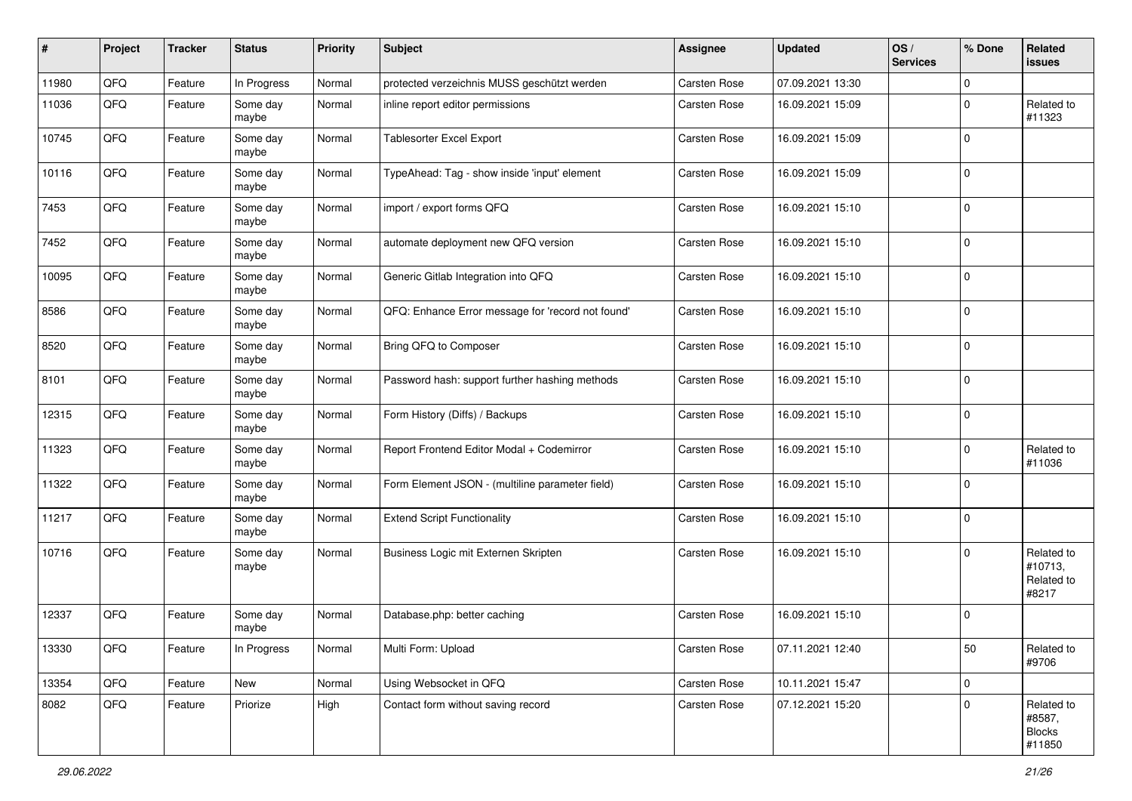| $\sharp$ | Project | <b>Tracker</b> | <b>Status</b>     | <b>Priority</b> | <b>Subject</b>                                    | <b>Assignee</b> | <b>Updated</b>   | OS/<br><b>Services</b> | % Done         | Related<br>issues                               |
|----------|---------|----------------|-------------------|-----------------|---------------------------------------------------|-----------------|------------------|------------------------|----------------|-------------------------------------------------|
| 11980    | QFQ     | Feature        | In Progress       | Normal          | protected verzeichnis MUSS geschützt werden       | Carsten Rose    | 07.09.2021 13:30 |                        | $\mathbf 0$    |                                                 |
| 11036    | QFQ     | Feature        | Some day<br>maybe | Normal          | inline report editor permissions                  | Carsten Rose    | 16.09.2021 15:09 |                        | $\Omega$       | Related to<br>#11323                            |
| 10745    | QFQ     | Feature        | Some day<br>maybe | Normal          | <b>Tablesorter Excel Export</b>                   | Carsten Rose    | 16.09.2021 15:09 |                        | $\overline{0}$ |                                                 |
| 10116    | QFQ     | Feature        | Some day<br>maybe | Normal          | TypeAhead: Tag - show inside 'input' element      | Carsten Rose    | 16.09.2021 15:09 |                        | $\overline{0}$ |                                                 |
| 7453     | QFQ     | Feature        | Some day<br>maybe | Normal          | import / export forms QFQ                         | Carsten Rose    | 16.09.2021 15:10 |                        | $\overline{0}$ |                                                 |
| 7452     | QFQ     | Feature        | Some day<br>maybe | Normal          | automate deployment new QFQ version               | Carsten Rose    | 16.09.2021 15:10 |                        | $\overline{0}$ |                                                 |
| 10095    | QFQ     | Feature        | Some day<br>maybe | Normal          | Generic Gitlab Integration into QFQ               | Carsten Rose    | 16.09.2021 15:10 |                        | $\overline{0}$ |                                                 |
| 8586     | QFQ     | Feature        | Some day<br>maybe | Normal          | QFQ: Enhance Error message for 'record not found' | Carsten Rose    | 16.09.2021 15:10 |                        | $\overline{0}$ |                                                 |
| 8520     | QFQ     | Feature        | Some day<br>maybe | Normal          | Bring QFQ to Composer                             | Carsten Rose    | 16.09.2021 15:10 |                        | $\mathbf 0$    |                                                 |
| 8101     | QFQ     | Feature        | Some day<br>maybe | Normal          | Password hash: support further hashing methods    | Carsten Rose    | 16.09.2021 15:10 |                        | $\overline{0}$ |                                                 |
| 12315    | QFQ     | Feature        | Some day<br>maybe | Normal          | Form History (Diffs) / Backups                    | Carsten Rose    | 16.09.2021 15:10 |                        | $\mathbf 0$    |                                                 |
| 11323    | QFQ     | Feature        | Some day<br>maybe | Normal          | Report Frontend Editor Modal + Codemirror         | Carsten Rose    | 16.09.2021 15:10 |                        | $\mathbf 0$    | Related to<br>#11036                            |
| 11322    | QFQ     | Feature        | Some day<br>maybe | Normal          | Form Element JSON - (multiline parameter field)   | Carsten Rose    | 16.09.2021 15:10 |                        | $\overline{0}$ |                                                 |
| 11217    | QFQ     | Feature        | Some day<br>maybe | Normal          | <b>Extend Script Functionality</b>                | Carsten Rose    | 16.09.2021 15:10 |                        | $\overline{0}$ |                                                 |
| 10716    | QFQ     | Feature        | Some day<br>maybe | Normal          | Business Logic mit Externen Skripten              | Carsten Rose    | 16.09.2021 15:10 |                        | $\mathbf 0$    | Related to<br>#10713,<br>Related to<br>#8217    |
| 12337    | QFQ     | Feature        | Some day<br>maybe | Normal          | Database.php: better caching                      | Carsten Rose    | 16.09.2021 15:10 |                        | $\overline{0}$ |                                                 |
| 13330    | QFQ     | Feature        | In Progress       | Normal          | Multi Form: Upload                                | Carsten Rose    | 07.11.2021 12:40 |                        | 50             | Related to<br>#9706                             |
| 13354    | QFG     | Feature        | New               | Normal          | Using Websocket in QFQ                            | Carsten Rose    | 10.11.2021 15:47 |                        | $\overline{0}$ |                                                 |
| 8082     | QFQ     | Feature        | Priorize          | High            | Contact form without saving record                | Carsten Rose    | 07.12.2021 15:20 |                        | $\mathbf 0$    | Related to<br>#8587,<br><b>Blocks</b><br>#11850 |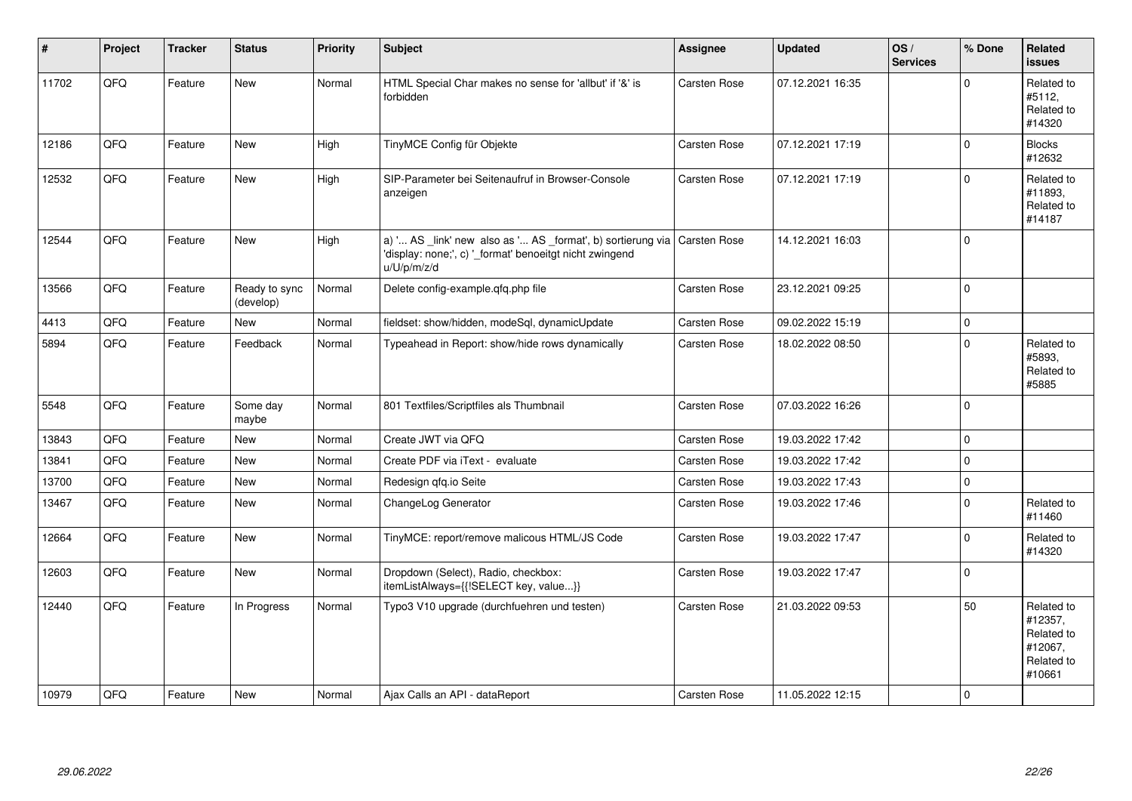| $\sharp$ | Project | <b>Tracker</b> | <b>Status</b>              | <b>Priority</b> | <b>Subject</b>                                                                                                                                     | Assignee            | <b>Updated</b>   | OS/<br><b>Services</b> | % Done      | Related<br><b>issues</b>                                               |
|----------|---------|----------------|----------------------------|-----------------|----------------------------------------------------------------------------------------------------------------------------------------------------|---------------------|------------------|------------------------|-------------|------------------------------------------------------------------------|
| 11702    | QFQ     | Feature        | <b>New</b>                 | Normal          | HTML Special Char makes no sense for 'allbut' if '&' is<br>forbidden                                                                               | Carsten Rose        | 07.12.2021 16:35 |                        | $\Omega$    | Related to<br>#5112,<br>Related to<br>#14320                           |
| 12186    | QFQ     | Feature        | New                        | High            | TinyMCE Config für Objekte                                                                                                                         | Carsten Rose        | 07.12.2021 17:19 |                        | $\mathbf 0$ | <b>Blocks</b><br>#12632                                                |
| 12532    | QFQ     | Feature        | <b>New</b>                 | High            | SIP-Parameter bei Seitenaufruf in Browser-Console<br>anzeigen                                                                                      | Carsten Rose        | 07.12.2021 17:19 |                        | $\Omega$    | Related to<br>#11893,<br>Related to<br>#14187                          |
| 12544    | QFQ     | Feature        | New                        | High            | a) ' AS _link' new also as ' AS _format', b) sortierung via Carsten Rose<br>'display: none;', c) ' format' benoeitgt nicht zwingend<br>u/U/p/m/z/d |                     | 14.12.2021 16:03 |                        | $\mathbf 0$ |                                                                        |
| 13566    | QFQ     | Feature        | Ready to sync<br>(develop) | Normal          | Delete config-example.qfq.php file                                                                                                                 | Carsten Rose        | 23.12.2021 09:25 |                        | $\Omega$    |                                                                        |
| 4413     | QFQ     | Feature        | New                        | Normal          | fieldset: show/hidden, modeSql, dynamicUpdate                                                                                                      | Carsten Rose        | 09.02.2022 15:19 |                        | $\pmb{0}$   |                                                                        |
| 5894     | QFQ     | Feature        | Feedback                   | Normal          | Typeahead in Report: show/hide rows dynamically                                                                                                    | Carsten Rose        | 18.02.2022 08:50 |                        | $\mathbf 0$ | Related to<br>#5893,<br>Related to<br>#5885                            |
| 5548     | QFQ     | Feature        | Some day<br>maybe          | Normal          | 801 Textfiles/Scriptfiles als Thumbnail                                                                                                            | Carsten Rose        | 07.03.2022 16:26 |                        | $\Omega$    |                                                                        |
| 13843    | QFQ     | Feature        | New                        | Normal          | Create JWT via QFQ                                                                                                                                 | Carsten Rose        | 19.03.2022 17:42 |                        | $\mathbf 0$ |                                                                        |
| 13841    | QFQ     | Feature        | New                        | Normal          | Create PDF via iText - evaluate                                                                                                                    | Carsten Rose        | 19.03.2022 17:42 |                        | $\pmb{0}$   |                                                                        |
| 13700    | QFQ     | Feature        | <b>New</b>                 | Normal          | Redesign gfg.io Seite                                                                                                                              | Carsten Rose        | 19.03.2022 17:43 |                        | $\pmb{0}$   |                                                                        |
| 13467    | QFQ     | Feature        | New                        | Normal          | ChangeLog Generator                                                                                                                                | Carsten Rose        | 19.03.2022 17:46 |                        | $\mathbf 0$ | Related to<br>#11460                                                   |
| 12664    | QFQ     | Feature        | <b>New</b>                 | Normal          | TinyMCE: report/remove malicous HTML/JS Code                                                                                                       | Carsten Rose        | 19.03.2022 17:47 |                        | $\Omega$    | Related to<br>#14320                                                   |
| 12603    | QFQ     | Feature        | New                        | Normal          | Dropdown (Select), Radio, checkbox:<br>itemListAlways={{!SELECT key, value}}                                                                       | Carsten Rose        | 19.03.2022 17:47 |                        | $\mathbf 0$ |                                                                        |
| 12440    | QFQ     | Feature        | In Progress                | Normal          | Typo3 V10 upgrade (durchfuehren und testen)                                                                                                        | <b>Carsten Rose</b> | 21.03.2022 09:53 |                        | 50          | Related to<br>#12357,<br>Related to<br>#12067,<br>Related to<br>#10661 |
| 10979    | QFQ     | Feature        | <b>New</b>                 | Normal          | Ajax Calls an API - dataReport                                                                                                                     | Carsten Rose        | 11.05.2022 12:15 |                        | $\Omega$    |                                                                        |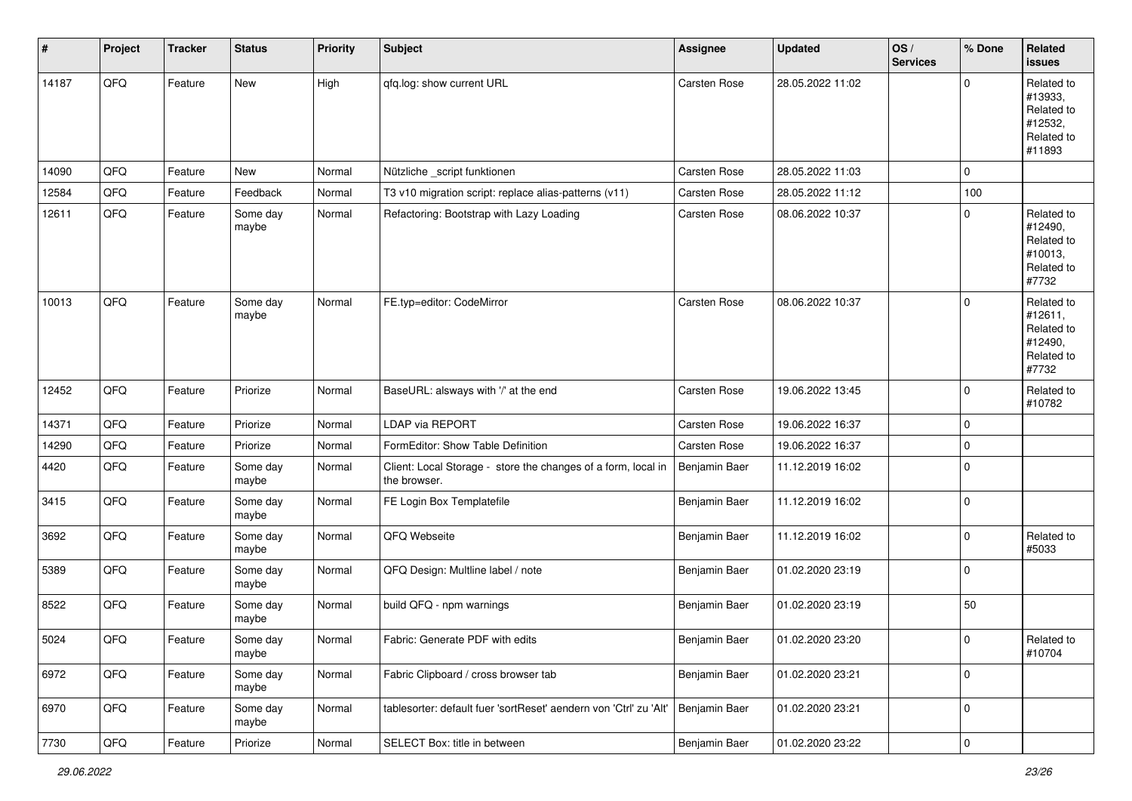| #     | Project | <b>Tracker</b> | <b>Status</b>     | <b>Priority</b> | <b>Subject</b>                                                                | <b>Assignee</b>     | <b>Updated</b>   | OS/<br><b>Services</b> | % Done      | Related<br>issues                                                      |
|-------|---------|----------------|-------------------|-----------------|-------------------------------------------------------------------------------|---------------------|------------------|------------------------|-------------|------------------------------------------------------------------------|
| 14187 | QFQ     | Feature        | New               | High            | qfq.log: show current URL                                                     | Carsten Rose        | 28.05.2022 11:02 |                        | $\mathbf 0$ | Related to<br>#13933,<br>Related to<br>#12532,<br>Related to<br>#11893 |
| 14090 | QFQ     | Feature        | New               | Normal          | Nützliche _script funktionen                                                  | <b>Carsten Rose</b> | 28.05.2022 11:03 |                        | $\mathbf 0$ |                                                                        |
| 12584 | QFQ     | Feature        | Feedback          | Normal          | T3 v10 migration script: replace alias-patterns (v11)                         | <b>Carsten Rose</b> | 28.05.2022 11:12 |                        | 100         |                                                                        |
| 12611 | QFQ     | Feature        | Some day<br>maybe | Normal          | Refactoring: Bootstrap with Lazy Loading                                      | Carsten Rose        | 08.06.2022 10:37 |                        | $\Omega$    | Related to<br>#12490,<br>Related to<br>#10013,<br>Related to<br>#7732  |
| 10013 | QFQ     | Feature        | Some day<br>maybe | Normal          | FE.typ=editor: CodeMirror                                                     | <b>Carsten Rose</b> | 08.06.2022 10:37 |                        | $\Omega$    | Related to<br>#12611,<br>Related to<br>#12490,<br>Related to<br>#7732  |
| 12452 | QFQ     | Feature        | Priorize          | Normal          | BaseURL: alsways with '/' at the end                                          | <b>Carsten Rose</b> | 19.06.2022 13:45 |                        | $\Omega$    | Related to<br>#10782                                                   |
| 14371 | QFQ     | Feature        | Priorize          | Normal          | LDAP via REPORT                                                               | Carsten Rose        | 19.06.2022 16:37 |                        | $\Omega$    |                                                                        |
| 14290 | QFQ     | Feature        | Priorize          | Normal          | FormEditor: Show Table Definition                                             | Carsten Rose        | 19.06.2022 16:37 |                        | $\mathbf 0$ |                                                                        |
| 4420  | QFQ     | Feature        | Some day<br>maybe | Normal          | Client: Local Storage - store the changes of a form, local in<br>the browser. | Benjamin Baer       | 11.12.2019 16:02 |                        | $\Omega$    |                                                                        |
| 3415  | QFQ     | Feature        | Some day<br>maybe | Normal          | FE Login Box Templatefile                                                     | Benjamin Baer       | 11.12.2019 16:02 |                        | $\mathbf 0$ |                                                                        |
| 3692  | QFQ     | Feature        | Some day<br>maybe | Normal          | QFQ Webseite                                                                  | Benjamin Baer       | 11.12.2019 16:02 |                        | $\mathbf 0$ | Related to<br>#5033                                                    |
| 5389  | QFQ     | Feature        | Some day<br>maybe | Normal          | QFQ Design: Multline label / note                                             | Benjamin Baer       | 01.02.2020 23:19 |                        | $\mathbf 0$ |                                                                        |
| 8522  | QFQ     | Feature        | Some day<br>maybe | Normal          | build QFQ - npm warnings                                                      | Benjamin Baer       | 01.02.2020 23:19 |                        | 50          |                                                                        |
| 5024  | QFG     | Feature        | Some day<br>maybe | Normal          | Fabric: Generate PDF with edits                                               | Benjamin Baer       | 01.02.2020 23:20 |                        | $\pmb{0}$   | Related to<br>#10704                                                   |
| 6972  | QFQ     | Feature        | Some day<br>maybe | Normal          | Fabric Clipboard / cross browser tab                                          | Benjamin Baer       | 01.02.2020 23:21 |                        | $\mathbf 0$ |                                                                        |
| 6970  | QFQ     | Feature        | Some day<br>maybe | Normal          | tablesorter: default fuer 'sortReset' aendern von 'Ctrl' zu 'Alt'             | Benjamin Baer       | 01.02.2020 23:21 |                        | $\mathbf 0$ |                                                                        |
| 7730  | QFQ     | Feature        | Priorize          | Normal          | SELECT Box: title in between                                                  | Benjamin Baer       | 01.02.2020 23:22 |                        | $\pmb{0}$   |                                                                        |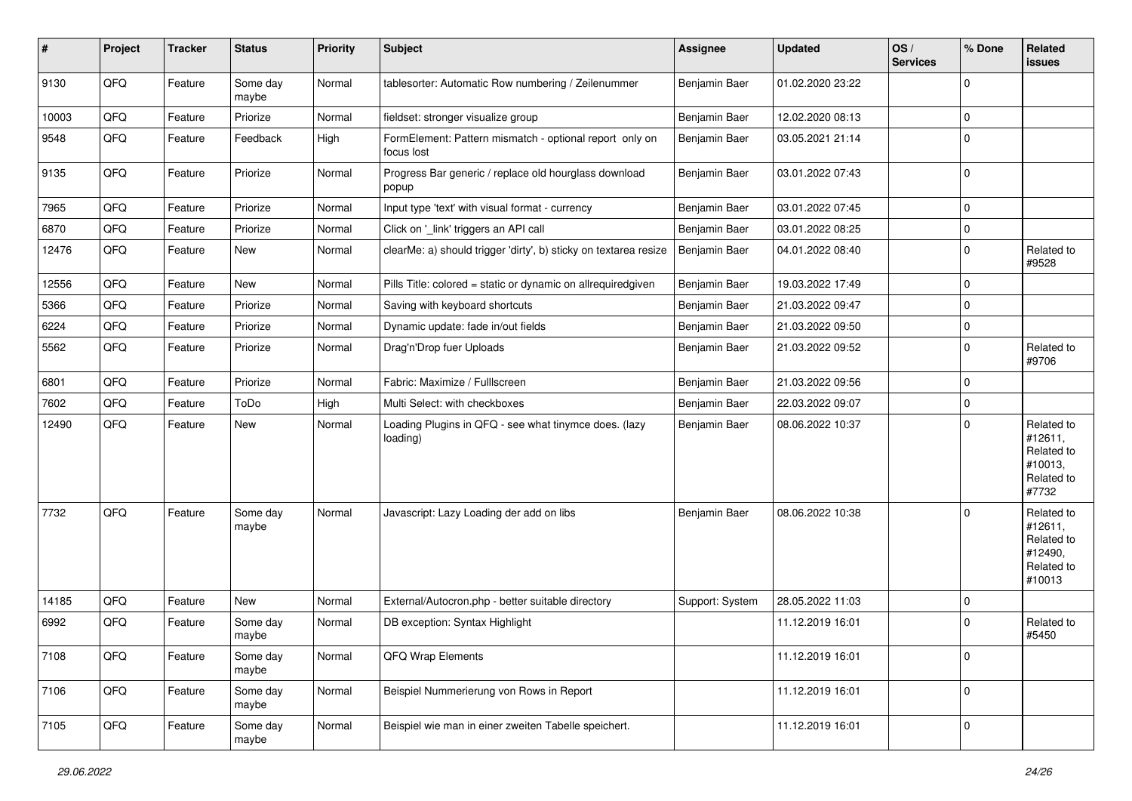| #     | Project | <b>Tracker</b> | <b>Status</b>     | <b>Priority</b> | <b>Subject</b>                                                        | <b>Assignee</b> | <b>Updated</b>   | OS/<br><b>Services</b> | % Done      | Related<br>issues                                                      |
|-------|---------|----------------|-------------------|-----------------|-----------------------------------------------------------------------|-----------------|------------------|------------------------|-------------|------------------------------------------------------------------------|
| 9130  | QFQ     | Feature        | Some day<br>maybe | Normal          | tablesorter: Automatic Row numbering / Zeilenummer                    | Benjamin Baer   | 01.02.2020 23:22 |                        | $\mathbf 0$ |                                                                        |
| 10003 | QFQ     | Feature        | Priorize          | Normal          | fieldset: stronger visualize group                                    | Benjamin Baer   | 12.02.2020 08:13 |                        | 0           |                                                                        |
| 9548  | QFQ     | Feature        | Feedback          | High            | FormElement: Pattern mismatch - optional report only on<br>focus lost | Benjamin Baer   | 03.05.2021 21:14 |                        | $\Omega$    |                                                                        |
| 9135  | QFQ     | Feature        | Priorize          | Normal          | Progress Bar generic / replace old hourglass download<br>popup        | Benjamin Baer   | 03.01.2022 07:43 |                        | $\mathbf 0$ |                                                                        |
| 7965  | QFQ     | Feature        | Priorize          | Normal          | Input type 'text' with visual format - currency                       | Benjamin Baer   | 03.01.2022 07:45 |                        | $\Omega$    |                                                                        |
| 6870  | QFQ     | Feature        | Priorize          | Normal          | Click on '_link' triggers an API call                                 | Benjamin Baer   | 03.01.2022 08:25 |                        | 0           |                                                                        |
| 12476 | QFQ     | Feature        | New               | Normal          | clearMe: a) should trigger 'dirty', b) sticky on textarea resize      | Benjamin Baer   | 04.01.2022 08:40 |                        | $\mathbf 0$ | Related to<br>#9528                                                    |
| 12556 | QFQ     | Feature        | New               | Normal          | Pills Title: colored = static or dynamic on allrequiredgiven          | Benjamin Baer   | 19.03.2022 17:49 |                        | $\mathbf 0$ |                                                                        |
| 5366  | QFQ     | Feature        | Priorize          | Normal          | Saving with keyboard shortcuts                                        | Benjamin Baer   | 21.03.2022 09:47 |                        | $\Omega$    |                                                                        |
| 6224  | QFQ     | Feature        | Priorize          | Normal          | Dynamic update: fade in/out fields                                    | Benjamin Baer   | 21.03.2022 09:50 |                        | $\mathbf 0$ |                                                                        |
| 5562  | QFQ     | Feature        | Priorize          | Normal          | Drag'n'Drop fuer Uploads                                              | Benjamin Baer   | 21.03.2022 09:52 |                        | $\mathbf 0$ | Related to<br>#9706                                                    |
| 6801  | QFQ     | Feature        | Priorize          | Normal          | Fabric: Maximize / FullIscreen                                        | Benjamin Baer   | 21.03.2022 09:56 |                        | $\mathbf 0$ |                                                                        |
| 7602  | QFQ     | Feature        | ToDo              | High            | Multi Select: with checkboxes                                         | Benjamin Baer   | 22.03.2022 09:07 |                        | 0           |                                                                        |
| 12490 | QFQ     | Feature        | New               | Normal          | Loading Plugins in QFQ - see what tinymce does. (lazy<br>loading)     | Benjamin Baer   | 08.06.2022 10:37 |                        | $\Omega$    | Related to<br>#12611,<br>Related to<br>#10013,<br>Related to<br>#7732  |
| 7732  | QFQ     | Feature        | Some day<br>maybe | Normal          | Javascript: Lazy Loading der add on libs                              | Benjamin Baer   | 08.06.2022 10:38 |                        | $\mathbf 0$ | Related to<br>#12611,<br>Related to<br>#12490,<br>Related to<br>#10013 |
| 14185 | QFQ     | Feature        | New               | Normal          | External/Autocron.php - better suitable directory                     | Support: System | 28.05.2022 11:03 |                        | $\mathbf 0$ |                                                                        |
| 6992  | QFQ     | Feature        | Some day<br>maybe | Normal          | DB exception: Syntax Highlight                                        |                 | 11.12.2019 16:01 |                        | $\Omega$    | Related to<br>#5450                                                    |
| 7108  | QFQ     | Feature        | Some day<br>maybe | Normal          | QFQ Wrap Elements                                                     |                 | 11.12.2019 16:01 |                        | $\mathbf 0$ |                                                                        |
| 7106  | QFQ     | Feature        | Some day<br>maybe | Normal          | Beispiel Nummerierung von Rows in Report                              |                 | 11.12.2019 16:01 |                        | $\mathbf 0$ |                                                                        |
| 7105  | QFQ     | Feature        | Some day<br>maybe | Normal          | Beispiel wie man in einer zweiten Tabelle speichert.                  |                 | 11.12.2019 16:01 |                        | 0           |                                                                        |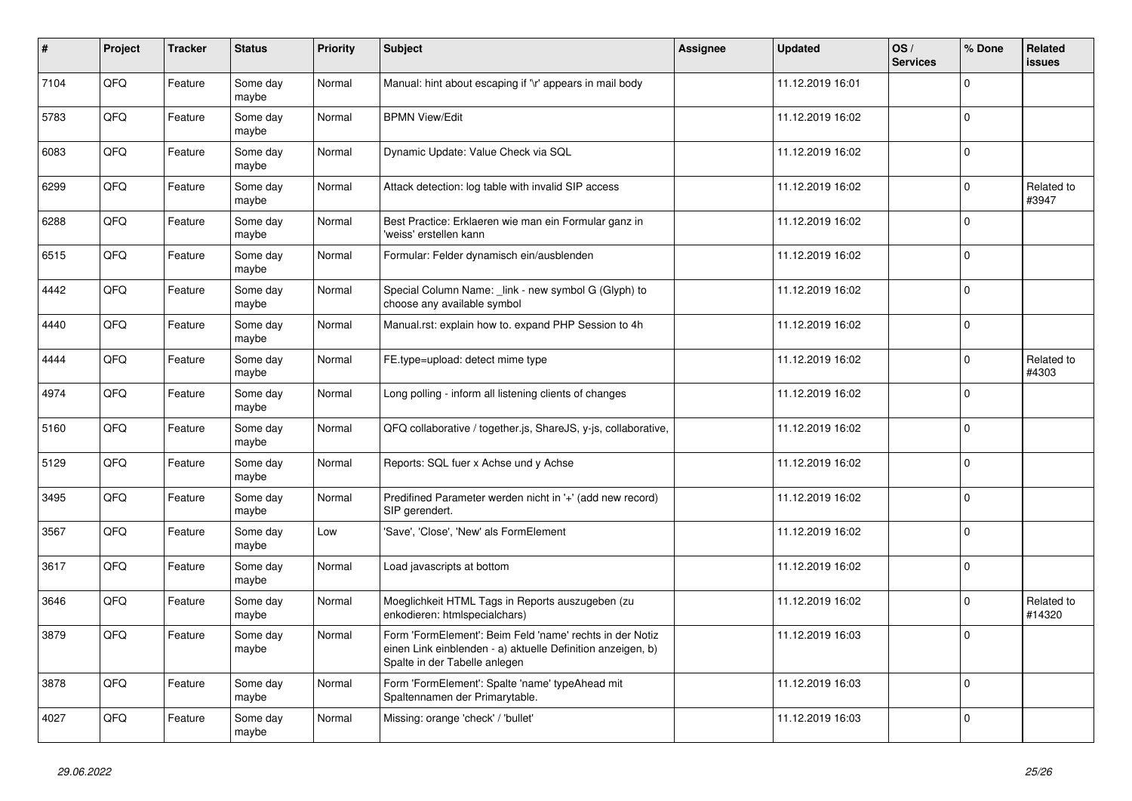| $\pmb{\sharp}$ | Project | <b>Tracker</b> | <b>Status</b>     | <b>Priority</b> | <b>Subject</b>                                                                                                                                           | <b>Assignee</b> | <b>Updated</b>   | OS/<br><b>Services</b> | % Done      | Related<br><b>issues</b> |
|----------------|---------|----------------|-------------------|-----------------|----------------------------------------------------------------------------------------------------------------------------------------------------------|-----------------|------------------|------------------------|-------------|--------------------------|
| 7104           | QFQ     | Feature        | Some day<br>maybe | Normal          | Manual: hint about escaping if '\r' appears in mail body                                                                                                 |                 | 11.12.2019 16:01 |                        | $\Omega$    |                          |
| 5783           | QFQ     | Feature        | Some day<br>maybe | Normal          | <b>BPMN View/Edit</b>                                                                                                                                    |                 | 11.12.2019 16:02 |                        | $\mathbf 0$ |                          |
| 6083           | QFQ     | Feature        | Some day<br>maybe | Normal          | Dynamic Update: Value Check via SQL                                                                                                                      |                 | 11.12.2019 16:02 |                        | $\Omega$    |                          |
| 6299           | QFQ     | Feature        | Some day<br>maybe | Normal          | Attack detection: log table with invalid SIP access                                                                                                      |                 | 11.12.2019 16:02 |                        | $\mathbf 0$ | Related to<br>#3947      |
| 6288           | QFQ     | Feature        | Some day<br>maybe | Normal          | Best Practice: Erklaeren wie man ein Formular ganz in<br>'weiss' erstellen kann                                                                          |                 | 11.12.2019 16:02 |                        | $\mathbf 0$ |                          |
| 6515           | QFQ     | Feature        | Some day<br>maybe | Normal          | Formular: Felder dynamisch ein/ausblenden                                                                                                                |                 | 11.12.2019 16:02 |                        | $\mathbf 0$ |                          |
| 4442           | QFQ     | Feature        | Some day<br>maybe | Normal          | Special Column Name: _link - new symbol G (Glyph) to<br>choose any available symbol                                                                      |                 | 11.12.2019 16:02 |                        | $\Omega$    |                          |
| 4440           | QFQ     | Feature        | Some day<br>maybe | Normal          | Manual.rst: explain how to. expand PHP Session to 4h                                                                                                     |                 | 11.12.2019 16:02 |                        | $\mathbf 0$ |                          |
| 4444           | QFQ     | Feature        | Some day<br>maybe | Normal          | FE.type=upload: detect mime type                                                                                                                         |                 | 11.12.2019 16:02 |                        | $\mathbf 0$ | Related to<br>#4303      |
| 4974           | QFQ     | Feature        | Some day<br>maybe | Normal          | Long polling - inform all listening clients of changes                                                                                                   |                 | 11.12.2019 16:02 |                        | $\mathbf 0$ |                          |
| 5160           | QFQ     | Feature        | Some day<br>maybe | Normal          | QFQ collaborative / together.js, ShareJS, y-js, collaborative,                                                                                           |                 | 11.12.2019 16:02 |                        | $\mathbf 0$ |                          |
| 5129           | QFQ     | Feature        | Some day<br>maybe | Normal          | Reports: SQL fuer x Achse und y Achse                                                                                                                    |                 | 11.12.2019 16:02 |                        | $\mathbf 0$ |                          |
| 3495           | QFQ     | Feature        | Some day<br>maybe | Normal          | Predifined Parameter werden nicht in '+' (add new record)<br>SIP gerendert.                                                                              |                 | 11.12.2019 16:02 |                        | $\mathbf 0$ |                          |
| 3567           | QFQ     | Feature        | Some day<br>maybe | Low             | 'Save', 'Close', 'New' als FormElement                                                                                                                   |                 | 11.12.2019 16:02 |                        | $\mathbf 0$ |                          |
| 3617           | QFQ     | Feature        | Some day<br>maybe | Normal          | Load javascripts at bottom                                                                                                                               |                 | 11.12.2019 16:02 |                        | $\mathbf 0$ |                          |
| 3646           | QFQ     | Feature        | Some day<br>maybe | Normal          | Moeglichkeit HTML Tags in Reports auszugeben (zu<br>enkodieren: htmlspecialchars)                                                                        |                 | 11.12.2019 16:02 |                        | $\mathbf 0$ | Related to<br>#14320     |
| 3879           | QFQ     | Feature        | Some day<br>maybe | Normal          | Form 'FormElement': Beim Feld 'name' rechts in der Notiz<br>einen Link einblenden - a) aktuelle Definition anzeigen, b)<br>Spalte in der Tabelle anlegen |                 | 11.12.2019 16:03 |                        | $\mathbf 0$ |                          |
| 3878           | QFQ     | Feature        | Some day<br>maybe | Normal          | Form 'FormElement': Spalte 'name' typeAhead mit<br>Spaltennamen der Primarytable.                                                                        |                 | 11.12.2019 16:03 |                        | $\Omega$    |                          |
| 4027           | QFQ     | Feature        | Some day<br>maybe | Normal          | Missing: orange 'check' / 'bullet'                                                                                                                       |                 | 11.12.2019 16:03 |                        | $\mathbf 0$ |                          |